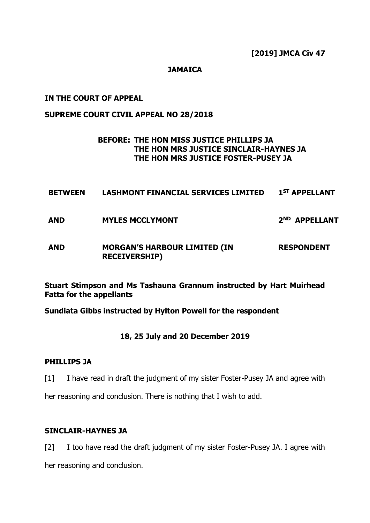**[2019] JMCA Civ 47**

#### **JAMAICA**

### **IN THE COURT OF APPEAL**

### **SUPREME COURT CIVIL APPEAL NO 28/2018**

## **BEFORE: THE HON MISS JUSTICE PHILLIPS JA THE HON MRS JUSTICE SINCLAIR-HAYNES JA THE HON MRS JUSTICE FOSTER-PUSEY JA**

- **BETWEEN LASHMONT FINANCIAL SERVICES LIMITED 1 ST APPELLANT**
- **AND MYLES MCCLYMONT 2 ND APPELLANT**
- **AND MORGAN'S HARBOUR LIMITED (IN RECEIVERSHIP) RESPONDENT**

**Stuart Stimpson and Ms Tashauna Grannum instructed by Hart Muirhead Fatta for the appellants**

**Sundiata Gibbs instructed by Hylton Powell for the respondent**

### **18, 25 July and 20 December 2019**

#### **PHILLIPS JA**

[1] I have read in draft the judgment of my sister Foster-Pusey JA and agree with

her reasoning and conclusion. There is nothing that I wish to add.

#### **SINCLAIR-HAYNES JA**

[2] I too have read the draft judgment of my sister Foster-Pusey JA. I agree with her reasoning and conclusion.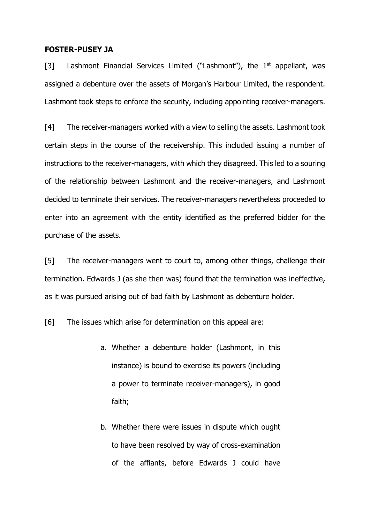#### **FOSTER-PUSEY JA**

[3] Lashmont Financial Services Limited ("Lashmont"), the  $1<sup>st</sup>$  appellant, was assigned a debenture over the assets of Morgan's Harbour Limited, the respondent. Lashmont took steps to enforce the security, including appointing receiver-managers.

[4] The receiver-managers worked with a view to selling the assets. Lashmont took certain steps in the course of the receivership. This included issuing a number of instructions to the receiver-managers, with which they disagreed. This led to a souring of the relationship between Lashmont and the receiver-managers, and Lashmont decided to terminate their services. The receiver-managers nevertheless proceeded to enter into an agreement with the entity identified as the preferred bidder for the purchase of the assets.

[5] The receiver-managers went to court to, among other things, challenge their termination. Edwards J (as she then was) found that the termination was ineffective, as it was pursued arising out of bad faith by Lashmont as debenture holder.

[6] The issues which arise for determination on this appeal are:

- a. Whether a debenture holder (Lashmont, in this instance) is bound to exercise its powers (including a power to terminate receiver-managers), in good faith;
- b. Whether there were issues in dispute which ought to have been resolved by way of cross-examination of the affiants, before Edwards J could have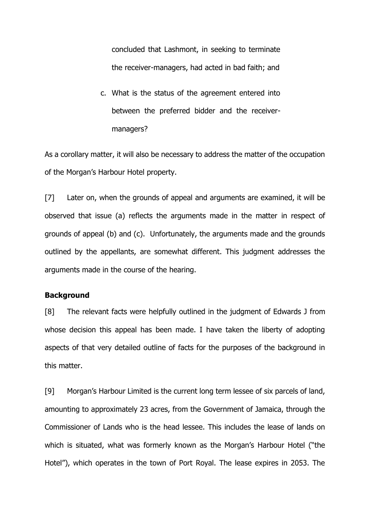concluded that Lashmont, in seeking to terminate the receiver-managers, had acted in bad faith; and

c. What is the status of the agreement entered into between the preferred bidder and the receivermanagers?

As a corollary matter, it will also be necessary to address the matter of the occupation of the Morgan's Harbour Hotel property.

[7] Later on, when the grounds of appeal and arguments are examined, it will be observed that issue (a) reflects the arguments made in the matter in respect of grounds of appeal (b) and (c). Unfortunately, the arguments made and the grounds outlined by the appellants, are somewhat different. This judgment addresses the arguments made in the course of the hearing.

### **Background**

[8] The relevant facts were helpfully outlined in the judgment of Edwards J from whose decision this appeal has been made. I have taken the liberty of adopting aspects of that very detailed outline of facts for the purposes of the background in this matter.

[9] Morgan's Harbour Limited is the current long term lessee of six parcels of land, amounting to approximately 23 acres, from the Government of Jamaica, through the Commissioner of Lands who is the head lessee. This includes the lease of lands on which is situated, what was formerly known as the Morgan's Harbour Hotel ("the Hotel"), which operates in the town of Port Royal. The lease expires in 2053. The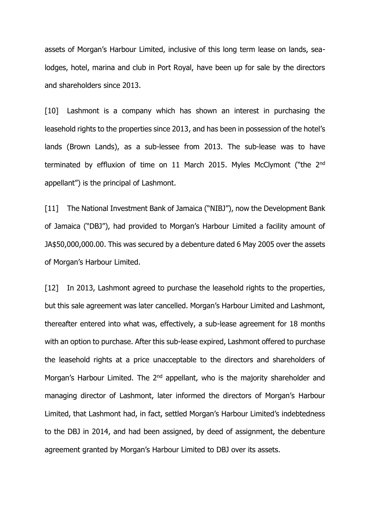assets of Morgan's Harbour Limited, inclusive of this long term lease on lands, sealodges, hotel, marina and club in Port Royal, have been up for sale by the directors and shareholders since 2013.

[10] Lashmont is a company which has shown an interest in purchasing the leasehold rights to the properties since 2013, and has been in possession of the hotel's lands (Brown Lands), as a sub-lessee from 2013. The sub-lease was to have terminated by effluxion of time on 11 March 2015. Myles McClymont ("the 2nd appellant") is the principal of Lashmont.

[11] The National Investment Bank of Jamaica ("NIBJ"), now the Development Bank of Jamaica ("DBJ"), had provided to Morgan's Harbour Limited a facility amount of JA\$50,000,000.00. This was secured by a debenture dated 6 May 2005 over the assets of Morgan's Harbour Limited.

[12] In 2013, Lashmont agreed to purchase the leasehold rights to the properties, but this sale agreement was later cancelled. Morgan's Harbour Limited and Lashmont, thereafter entered into what was, effectively, a sub-lease agreement for 18 months with an option to purchase. After this sub-lease expired, Lashmont offered to purchase the leasehold rights at a price unacceptable to the directors and shareholders of Morgan's Harbour Limited. The  $2<sup>nd</sup>$  appellant, who is the majority shareholder and managing director of Lashmont, later informed the directors of Morgan's Harbour Limited, that Lashmont had, in fact, settled Morgan's Harbour Limited's indebtedness to the DBJ in 2014, and had been assigned, by deed of assignment, the debenture agreement granted by Morgan's Harbour Limited to DBJ over its assets.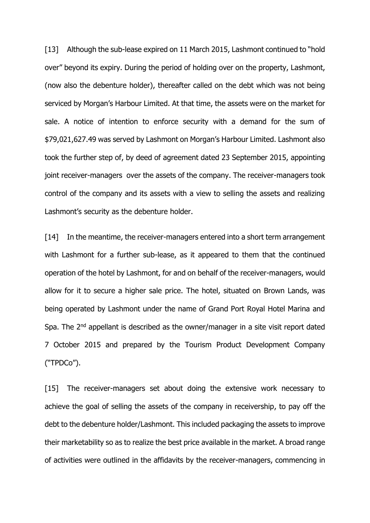[13] Although the sub-lease expired on 11 March 2015, Lashmont continued to "hold over" beyond its expiry. During the period of holding over on the property, Lashmont, (now also the debenture holder), thereafter called on the debt which was not being serviced by Morgan's Harbour Limited. At that time, the assets were on the market for sale. A notice of intention to enforce security with a demand for the sum of \$79,021,627.49 was served by Lashmont on Morgan's Harbour Limited. Lashmont also took the further step of, by deed of agreement dated 23 September 2015, appointing joint receiver-managers over the assets of the company. The receiver-managers took control of the company and its assets with a view to selling the assets and realizing Lashmont's security as the debenture holder.

[14] In the meantime, the receiver-managers entered into a short term arrangement with Lashmont for a further sub-lease, as it appeared to them that the continued operation of the hotel by Lashmont, for and on behalf of the receiver-managers, would allow for it to secure a higher sale price. The hotel, situated on Brown Lands, was being operated by Lashmont under the name of Grand Port Royal Hotel Marina and Spa. The 2<sup>nd</sup> appellant is described as the owner/manager in a site visit report dated 7 October 2015 and prepared by the Tourism Product Development Company ("TPDCo").

[15] The receiver-managers set about doing the extensive work necessary to achieve the goal of selling the assets of the company in receivership, to pay off the debt to the debenture holder/Lashmont. This included packaging the assets to improve their marketability so as to realize the best price available in the market. A broad range of activities were outlined in the affidavits by the receiver-managers, commencing in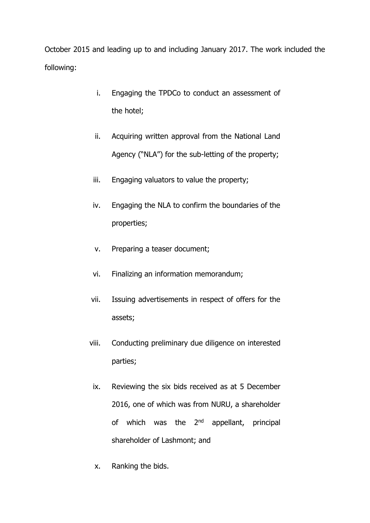October 2015 and leading up to and including January 2017. The work included the following:

- i. Engaging the TPDCo to conduct an assessment of the hotel;
- ii. Acquiring written approval from the National Land Agency ("NLA") for the sub-letting of the property;
- iii. Engaging valuators to value the property;
- iv. Engaging the NLA to confirm the boundaries of the properties;
- v. Preparing a teaser document;
- vi. Finalizing an information memorandum;
- vii. Issuing advertisements in respect of offers for the assets;
- viii. Conducting preliminary due diligence on interested parties;
- ix. Reviewing the six bids received as at 5 December 2016, one of which was from NURU, a shareholder of which was the  $2<sup>nd</sup>$  appellant, principal shareholder of Lashmont; and
- x. Ranking the bids.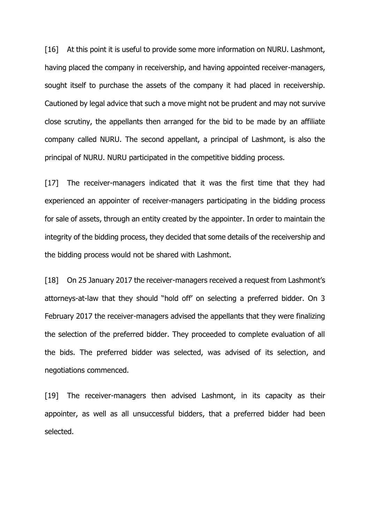[16] At this point it is useful to provide some more information on NURU. Lashmont, having placed the company in receivership, and having appointed receiver-managers, sought itself to purchase the assets of the company it had placed in receivership. Cautioned by legal advice that such a move might not be prudent and may not survive close scrutiny, the appellants then arranged for the bid to be made by an affiliate company called NURU. The second appellant, a principal of Lashmont, is also the principal of NURU. NURU participated in the competitive bidding process.

[17] The receiver-managers indicated that it was the first time that they had experienced an appointer of receiver-managers participating in the bidding process for sale of assets, through an entity created by the appointer. In order to maintain the integrity of the bidding process, they decided that some details of the receivership and the bidding process would not be shared with Lashmont.

[18] On 25 January 2017 the receiver-managers received a request from Lashmont's attorneys-at-law that they should "hold off' on selecting a preferred bidder. On 3 February 2017 the receiver-managers advised the appellants that they were finalizing the selection of the preferred bidder. They proceeded to complete evaluation of all the bids. The preferred bidder was selected, was advised of its selection, and negotiations commenced.

[19] The receiver-managers then advised Lashmont, in its capacity as their appointer, as well as all unsuccessful bidders, that a preferred bidder had been selected.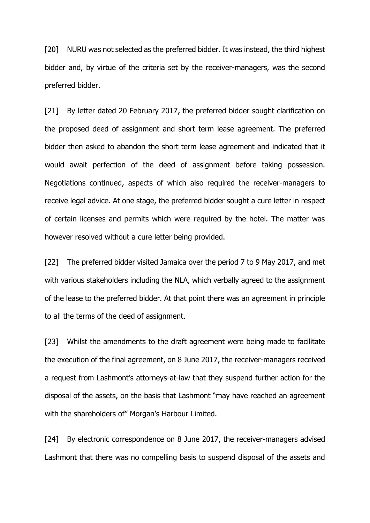[20] NURU was not selected as the preferred bidder. It was instead, the third highest bidder and, by virtue of the criteria set by the receiver-managers, was the second preferred bidder.

[21] By letter dated 20 February 2017, the preferred bidder sought clarification on the proposed deed of assignment and short term lease agreement. The preferred bidder then asked to abandon the short term lease agreement and indicated that it would await perfection of the deed of assignment before taking possession. Negotiations continued, aspects of which also required the receiver-managers to receive legal advice. At one stage, the preferred bidder sought a cure letter in respect of certain licenses and permits which were required by the hotel. The matter was however resolved without a cure letter being provided.

[22] The preferred bidder visited Jamaica over the period 7 to 9 May 2017, and met with various stakeholders including the NLA, which verbally agreed to the assignment of the lease to the preferred bidder. At that point there was an agreement in principle to all the terms of the deed of assignment.

[23] Whilst the amendments to the draft agreement were being made to facilitate the execution of the final agreement, on 8 June 2017, the receiver-managers received a request from Lashmont's attorneys-at-law that they suspend further action for the disposal of the assets, on the basis that Lashmont "may have reached an agreement with the shareholders of" Morgan's Harbour Limited.

[24] By electronic correspondence on 8 June 2017, the receiver-managers advised Lashmont that there was no compelling basis to suspend disposal of the assets and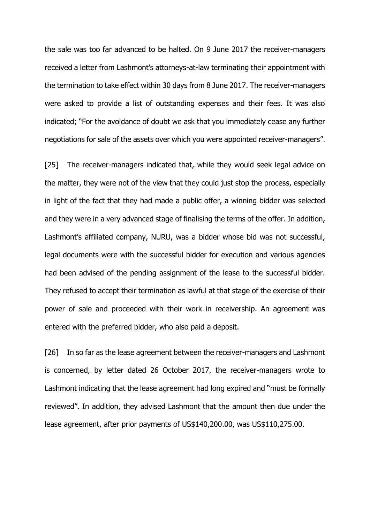the sale was too far advanced to be halted. On 9 June 2017 the receiver-managers received a letter from Lashmont's attorneys-at-law terminating their appointment with the termination to take effect within 30 days from 8 June 2017. The receiver-managers were asked to provide a list of outstanding expenses and their fees. It was also indicated; "For the avoidance of doubt we ask that you immediately cease any further negotiations for sale of the assets over which you were appointed receiver-managers".

[25] The receiver-managers indicated that, while they would seek legal advice on the matter, they were not of the view that they could just stop the process, especially in light of the fact that they had made a public offer, a winning bidder was selected and they were in a very advanced stage of finalising the terms of the offer. In addition, Lashmont's affiliated company, NURU, was a bidder whose bid was not successful, legal documents were with the successful bidder for execution and various agencies had been advised of the pending assignment of the lease to the successful bidder. They refused to accept their termination as lawful at that stage of the exercise of their power of sale and proceeded with their work in receivership. An agreement was entered with the preferred bidder, who also paid a deposit.

[26] In so far as the lease agreement between the receiver-managers and Lashmont is concerned, by letter dated 26 October 2017, the receiver-managers wrote to Lashmont indicating that the lease agreement had long expired and "must be formally reviewed". In addition, they advised Lashmont that the amount then due under the lease agreement, after prior payments of US\$140,200.00, was US\$110,275.00.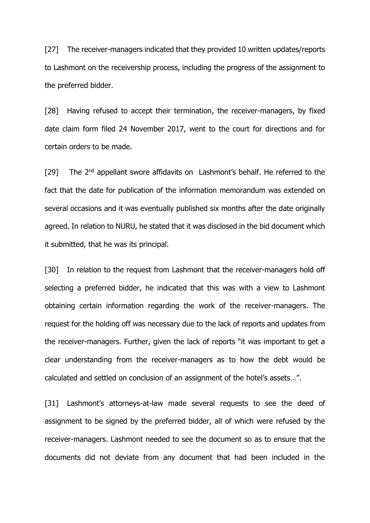[27] The receiver-managers indicated that they provided 10 written updates/reports to Lashmont on the receivership process, including the progress of the assignment to the preferred bidder.

[28] Having refused to accept their termination, the receiver-managers, by fixed date claim form filed 24 November 2017, went to the court for directions and for certain orders to be made.

[29] The 2<sup>nd</sup> appellant swore affidavits on Lashmont's behalf. He referred to the fact that the date for publication of the information memorandum was extended on several occasions and it was eventually published six months after the date originally agreed. In relation to NURU, he stated that it was disclosed in the bid document which it submitted, that he was its principal.

[30] In relation to the request from Lashmont that the receiver-managers hold off selecting a preferred bidder, he indicated that this was with a view to Lashmont obtaining certain information regarding the work of the receiver-managers. The request for the holding off was necessary due to the lack of reports and updates from the receiver-managers. Further, given the lack of reports "it was important to get a clear understanding from the receiver-managers as to how the debt would be calculated and settled on conclusion of an assignment of the hotel's assets…".

[31] Lashmont's attorneys-at-law made several requests to see the deed of assignment to be signed by the preferred bidder, all of which were refused by the receiver-managers. Lashmont needed to see the document so as to ensure that the documents did not deviate from any document that had been included in the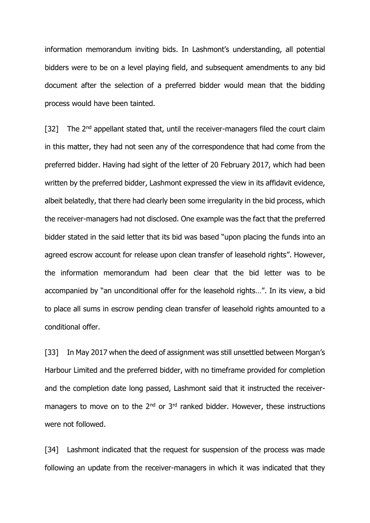information memorandum inviting bids. In Lashmont's understanding, all potential bidders were to be on a level playing field, and subsequent amendments to any bid document after the selection of a preferred bidder would mean that the bidding process would have been tainted.

[32] The 2<sup>nd</sup> appellant stated that, until the receiver-managers filed the court claim in this matter, they had not seen any of the correspondence that had come from the preferred bidder. Having had sight of the letter of 20 February 2017, which had been written by the preferred bidder, Lashmont expressed the view in its affidavit evidence, albeit belatedly, that there had clearly been some irregularity in the bid process, which the receiver-managers had not disclosed. One example was the fact that the preferred bidder stated in the said letter that its bid was based "upon placing the funds into an agreed escrow account for release upon clean transfer of leasehold rights". However, the information memorandum had been clear that the bid letter was to be accompanied by "an unconditional offer for the leasehold rights…". In its view, a bid to place all sums in escrow pending clean transfer of leasehold rights amounted to a conditional offer.

[33] In May 2017 when the deed of assignment was still unsettled between Morgan's Harbour Limited and the preferred bidder, with no timeframe provided for completion and the completion date long passed, Lashmont said that it instructed the receivermanagers to move on to the 2<sup>nd</sup> or 3<sup>rd</sup> ranked bidder. However, these instructions were not followed.

[34] Lashmont indicated that the request for suspension of the process was made following an update from the receiver-managers in which it was indicated that they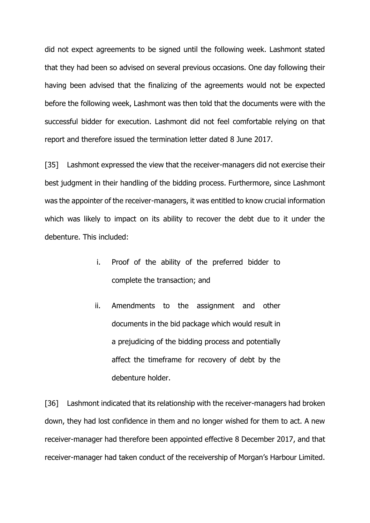did not expect agreements to be signed until the following week. Lashmont stated that they had been so advised on several previous occasions. One day following their having been advised that the finalizing of the agreements would not be expected before the following week, Lashmont was then told that the documents were with the successful bidder for execution. Lashmont did not feel comfortable relying on that report and therefore issued the termination letter dated 8 June 2017.

[35] Lashmont expressed the view that the receiver-managers did not exercise their best judgment in their handling of the bidding process. Furthermore, since Lashmont was the appointer of the receiver-managers, it was entitled to know crucial information which was likely to impact on its ability to recover the debt due to it under the debenture. This included:

- i. Proof of the ability of the preferred bidder to complete the transaction; and
- ii. Amendments to the assignment and other documents in the bid package which would result in a prejudicing of the bidding process and potentially affect the timeframe for recovery of debt by the debenture holder.

[36] Lashmont indicated that its relationship with the receiver-managers had broken down, they had lost confidence in them and no longer wished for them to act. A new receiver-manager had therefore been appointed effective 8 December 2017, and that receiver-manager had taken conduct of the receivership of Morgan's Harbour Limited.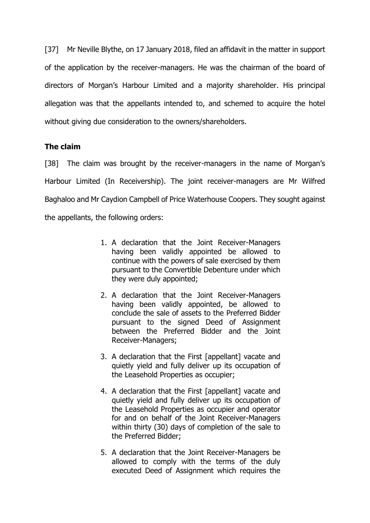[37] Mr Neville Blythe, on 17 January 2018, filed an affidavit in the matter in support of the application by the receiver-managers. He was the chairman of the board of directors of Morgan's Harbour Limited and a majority shareholder. His principal allegation was that the appellants intended to, and schemed to acquire the hotel without giving due consideration to the owners/shareholders.

# **The claim**

[38] The claim was brought by the receiver-managers in the name of Morgan's Harbour Limited (In Receivership). The joint receiver-managers are Mr Wilfred Baghaloo and Mr Caydion Campbell of Price Waterhouse Coopers. They sought against the appellants, the following orders:

- 1. A declaration that the Joint Receiver-Managers having been validly appointed be allowed to continue with the powers of sale exercised by them pursuant to the Convertible Debenture under which they were duly appointed;
- 2. A declaration that the Joint Receiver-Managers having been validly appointed, be allowed to conclude the sale of assets to the Preferred Bidder pursuant to the signed Deed of Assignment between the Preferred Bidder and the Joint Receiver-Managers;
- 3. A declaration that the First [appellant] vacate and quietly yield and fully deliver up its occupation of the Leasehold Properties as occupier;
- 4. A declaration that the First [appellant] vacate and quietly yield and fully deliver up its occupation of the Leasehold Properties as occupier and operator for and on behalf of the Joint Receiver-Managers within thirty (30) days of completion of the sale to the Preferred Bidder;
- 5. A declaration that the Joint Receiver-Managers be allowed to comply with the terms of the duly executed Deed of Assignment which requires the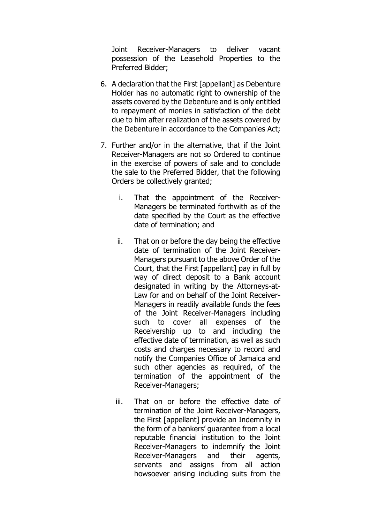Joint Receiver-Managers to deliver vacant possession of the Leasehold Properties to the Preferred Bidder;

- 6. A declaration that the First [appellant] as Debenture Holder has no automatic right to ownership of the assets covered by the Debenture and is only entitled to repayment of monies in satisfaction of the debt due to him after realization of the assets covered by the Debenture in accordance to the Companies Act;
- 7. Further and/or in the alternative, that if the Joint Receiver-Managers are not so Ordered to continue in the exercise of powers of sale and to conclude the sale to the Preferred Bidder, that the following Orders be collectively granted;
	- i. That the appointment of the Receiver-Managers be terminated forthwith as of the date specified by the Court as the effective date of termination; and
	- ii. That on or before the day being the effective date of termination of the Joint Receiver-Managers pursuant to the above Order of the Court, that the First [appellant] pay in full by way of direct deposit to a Bank account designated in writing by the Attorneys-at-Law for and on behalf of the Joint Receiver-Managers in readily available funds the fees of the Joint Receiver-Managers including such to cover all expenses of the Receivership up to and including the effective date of termination, as well as such costs and charges necessary to record and notify the Companies Office of Jamaica and such other agencies as required, of the termination of the appointment of the Receiver-Managers;
	- iii. That on or before the effective date of termination of the Joint Receiver-Managers, the First [appellant] provide an Indemnity in the form of a bankers' guarantee from a local reputable financial institution to the Joint Receiver-Managers to indemnify the Joint Receiver-Managers and their agents, servants and assigns from all action howsoever arising including suits from the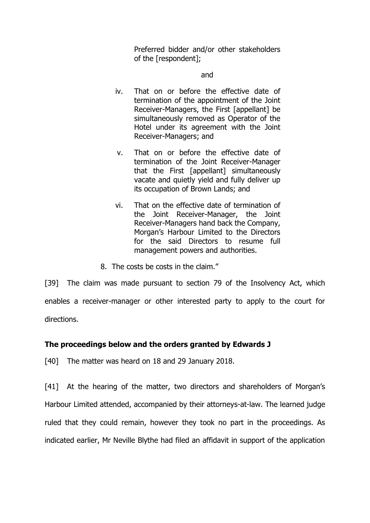Preferred bidder and/or other stakeholders of the [respondent];

and

- iv. That on or before the effective date of termination of the appointment of the Joint Receiver-Managers, the First [appellant] be simultaneously removed as Operator of the Hotel under its agreement with the Joint Receiver-Managers; and
- v. That on or before the effective date of termination of the Joint Receiver-Manager that the First [appellant] simultaneously vacate and quietly yield and fully deliver up its occupation of Brown Lands; and
- vi. That on the effective date of termination of the Joint Receiver-Manager, the Joint Receiver-Managers hand back the Company, Morgan's Harbour Limited to the Directors for the said Directors to resume full management powers and authorities.
- 8. The costs be costs in the claim."

[39] The claim was made pursuant to section 79 of the Insolvency Act, which enables a receiver-manager or other interested party to apply to the court for directions.

## **The proceedings below and the orders granted by Edwards J**

[40] The matter was heard on 18 and 29 January 2018.

[41] At the hearing of the matter, two directors and shareholders of Morgan's Harbour Limited attended, accompanied by their attorneys-at-law. The learned judge ruled that they could remain, however they took no part in the proceedings. As indicated earlier, Mr Neville Blythe had filed an affidavit in support of the application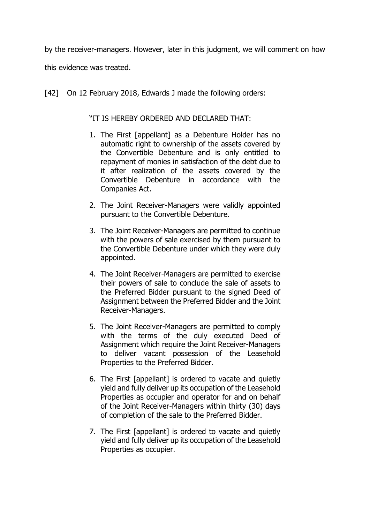by the receiver-managers. However, later in this judgment, we will comment on how

this evidence was treated.

[42] On 12 February 2018, Edwards J made the following orders:

"IT IS HEREBY ORDERED AND DECLARED THAT:

- 1. The First [appellant] as a Debenture Holder has no automatic right to ownership of the assets covered by the Convertible Debenture and is only entitled to repayment of monies in satisfaction of the debt due to it after realization of the assets covered by the Convertible Debenture in accordance with the Companies Act.
- 2. The Joint Receiver-Managers were validly appointed pursuant to the Convertible Debenture.
- 3. The Joint Receiver-Managers are permitted to continue with the powers of sale exercised by them pursuant to the Convertible Debenture under which they were duly appointed.
- 4. The Joint Receiver-Managers are permitted to exercise their powers of sale to conclude the sale of assets to the Preferred Bidder pursuant to the signed Deed of Assignment between the Preferred Bidder and the Joint Receiver-Managers.
- 5. The Joint Receiver-Managers are permitted to comply with the terms of the duly executed Deed of Assignment which require the Joint Receiver-Managers to deliver vacant possession of the Leasehold Properties to the Preferred Bidder.
- 6. The First [appellant] is ordered to vacate and quietly yield and fully deliver up its occupation of the Leasehold Properties as occupier and operator for and on behalf of the Joint Receiver-Managers within thirty (30) days of completion of the sale to the Preferred Bidder.
- 7. The First [appellant] is ordered to vacate and quietly yield and fully deliver up its occupation of the Leasehold Properties as occupier.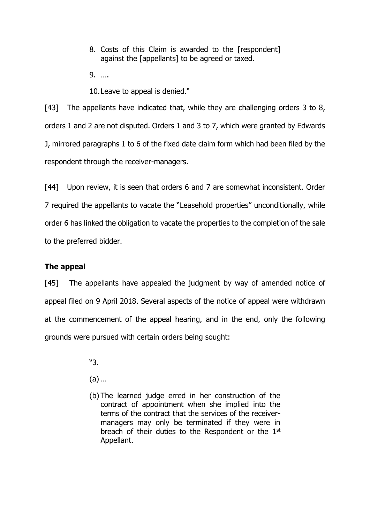- 8. Costs of this Claim is awarded to the [respondent] against the [appellants] to be agreed or taxed.
- 9. ….

## 10.Leave to appeal is denied."

[43] The appellants have indicated that, while they are challenging orders 3 to 8, orders 1 and 2 are not disputed. Orders 1 and 3 to 7, which were granted by Edwards J, mirrored paragraphs 1 to 6 of the fixed date claim form which had been filed by the respondent through the receiver-managers.

[44] Upon review, it is seen that orders 6 and 7 are somewhat inconsistent. Order 7 required the appellants to vacate the "Leasehold properties" unconditionally, while order 6 has linked the obligation to vacate the properties to the completion of the sale to the preferred bidder.

### **The appeal**

[45] The appellants have appealed the judgment by way of amended notice of appeal filed on 9 April 2018. Several aspects of the notice of appeal were withdrawn at the commencement of the appeal hearing, and in the end, only the following grounds were pursued with certain orders being sought:

"3.

(a) …

(b) The learned judge erred in her construction of the contract of appointment when she implied into the terms of the contract that the services of the receivermanagers may only be terminated if they were in breach of their duties to the Respondent or the 1<sup>st</sup> Appellant.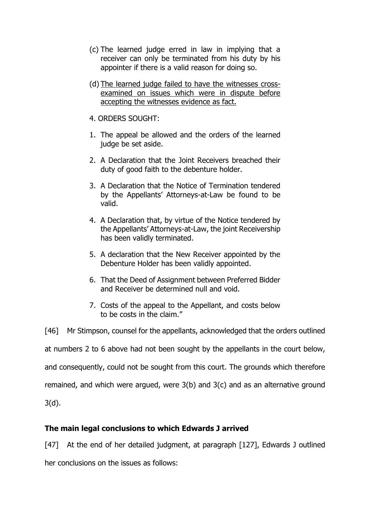- (c) The learned judge erred in law in implying that a receiver can only be terminated from his duty by his appointer if there is a valid reason for doing so.
- (d) The learned judge failed to have the witnesses crossexamined on issues which were in dispute before accepting the witnesses evidence as fact.
- 4. ORDERS SOUGHT:
- 1. The appeal be allowed and the orders of the learned judge be set aside.
- 2. A Declaration that the Joint Receivers breached their duty of good faith to the debenture holder.
- 3. A Declaration that the Notice of Termination tendered by the Appellants' Attorneys-at-Law be found to be valid.
- 4. A Declaration that, by virtue of the Notice tendered by the Appellants' Attorneys-at-Law, the joint Receivership has been validly terminated.
- 5. A declaration that the New Receiver appointed by the Debenture Holder has been validly appointed.
- 6. That the Deed of Assignment between Preferred Bidder and Receiver be determined null and void.
- 7. Costs of the appeal to the Appellant, and costs below to be costs in the claim."

[46] Mr Stimpson, counsel for the appellants, acknowledged that the orders outlined at numbers 2 to 6 above had not been sought by the appellants in the court below, and consequently, could not be sought from this court. The grounds which therefore remained, and which were argued, were 3(b) and 3(c) and as an alternative ground 3(d).

# **The main legal conclusions to which Edwards J arrived**

[47] At the end of her detailed judgment, at paragraph [127], Edwards J outlined

her conclusions on the issues as follows: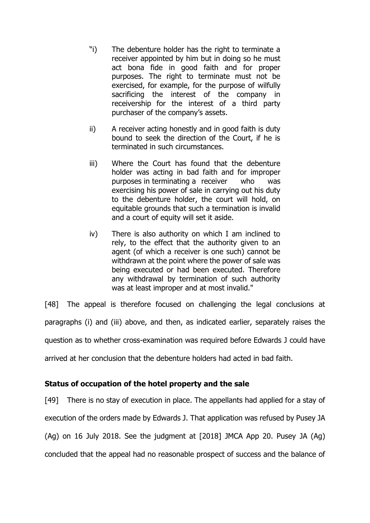- "i) The debenture holder has the right to terminate a receiver appointed by him but in doing so he must act bona fide in good faith and for proper purposes. The right to terminate must not be exercised, for example, for the purpose of wilfully sacrificing the interest of the company in receivership for the interest of a third party purchaser of the company's assets.
- ii) A receiver acting honestly and in good faith is duty bound to seek the direction of the Court, if he is terminated in such circumstances.
- iii) Where the Court has found that the debenture holder was acting in bad faith and for improper purposes in terminating a receiver who was exercising his power of sale in carrying out his duty to the debenture holder, the court will hold, on equitable grounds that such a termination is invalid and a court of equity will set it aside.
- iv) There is also authority on which I am inclined to rely, to the effect that the authority given to an agent (of which a receiver is one such) cannot be withdrawn at the point where the power of sale was being executed or had been executed. Therefore any withdrawal by termination of such authority was at least improper and at most invalid."

[48] The appeal is therefore focused on challenging the legal conclusions at paragraphs (i) and (iii) above, and then, as indicated earlier, separately raises the question as to whether cross-examination was required before Edwards J could have arrived at her conclusion that the debenture holders had acted in bad faith.

# **Status of occupation of the hotel property and the sale**

[49] There is no stay of execution in place. The appellants had applied for a stay of execution of the orders made by Edwards J. That application was refused by Pusey JA (Ag) on 16 July 2018. See the judgment at [2018] JMCA App 20. Pusey JA (Ag) concluded that the appeal had no reasonable prospect of success and the balance of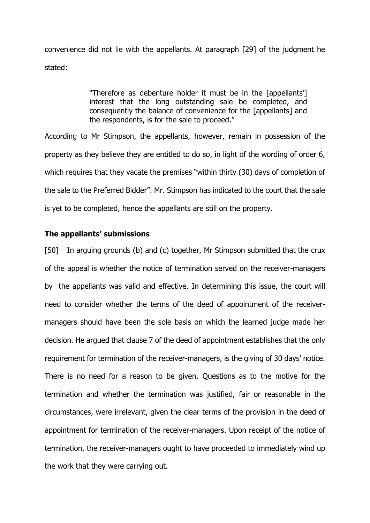convenience did not lie with the appellants. At paragraph [29] of the judgment he stated:

> "Therefore as debenture holder it must be in the [appellants'] interest that the long outstanding sale be completed, and consequently the balance of convenience for the [appellants] and the respondents, is for the sale to proceed."

According to Mr Stimpson, the appellants, however, remain in possession of the property as they believe they are entitled to do so, in light of the wording of order 6, which requires that they vacate the premises "within thirty (30) days of completion of the sale to the Preferred Bidder". Mr. Stimpson has indicated to the court that the sale is yet to be completed, hence the appellants are still on the property.

#### **The appellants' submissions**

[50] In arguing grounds (b) and (c) together, Mr Stimpson submitted that the crux of the appeal is whether the notice of termination served on the receiver-managers by the appellants was valid and effective. In determining this issue, the court will need to consider whether the terms of the deed of appointment of the receivermanagers should have been the sole basis on which the learned judge made her decision. He argued that clause 7 of the deed of appointment establishes that the only requirement for termination of the receiver-managers, is the giving of 30 days' notice. There is no need for a reason to be given. Questions as to the motive for the termination and whether the termination was justified, fair or reasonable in the circumstances, were irrelevant, given the clear terms of the provision in the deed of appointment for termination of the receiver-managers. Upon receipt of the notice of termination, the receiver-managers ought to have proceeded to immediately wind up the work that they were carrying out.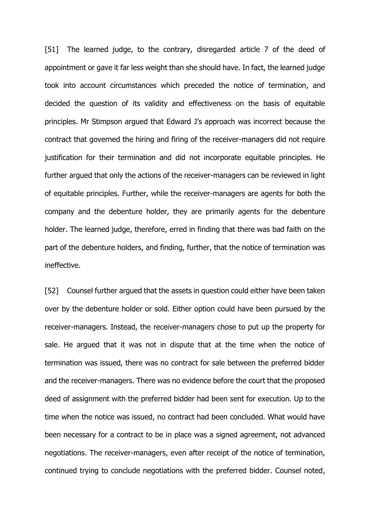[51] The learned judge, to the contrary, disregarded article 7 of the deed of appointment or gave it far less weight than she should have. In fact, the learned judge took into account circumstances which preceded the notice of termination, and decided the question of its validity and effectiveness on the basis of equitable principles. Mr Stimpson argued that Edward J's approach was incorrect because the contract that governed the hiring and firing of the receiver-managers did not require justification for their termination and did not incorporate equitable principles. He further argued that only the actions of the receiver-managers can be reviewed in light of equitable principles. Further, while the receiver-managers are agents for both the company and the debenture holder, they are primarily agents for the debenture holder. The learned judge, therefore, erred in finding that there was bad faith on the part of the debenture holders, and finding, further, that the notice of termination was ineffective.

[52] Counsel further argued that the assets in question could either have been taken over by the debenture holder or sold. Either option could have been pursued by the receiver-managers. Instead, the receiver-managers chose to put up the property for sale. He argued that it was not in dispute that at the time when the notice of termination was issued, there was no contract for sale between the preferred bidder and the receiver-managers. There was no evidence before the court that the proposed deed of assignment with the preferred bidder had been sent for execution. Up to the time when the notice was issued, no contract had been concluded. What would have been necessary for a contract to be in place was a signed agreement, not advanced negotiations. The receiver-managers, even after receipt of the notice of termination, continued trying to conclude negotiations with the preferred bidder. Counsel noted,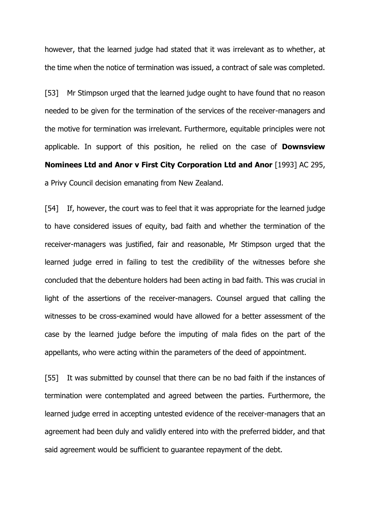however, that the learned judge had stated that it was irrelevant as to whether, at the time when the notice of termination was issued, a contract of sale was completed.

[53] Mr Stimpson urged that the learned judge ought to have found that no reason needed to be given for the termination of the services of the receiver-managers and the motive for termination was irrelevant. Furthermore, equitable principles were not applicable. In support of this position, he relied on the case of **Downsview Nominees Ltd and Anor v First City Corporation Ltd and Anor** [1993] AC 295, a Privy Council decision emanating from New Zealand.

[54] If, however, the court was to feel that it was appropriate for the learned judge to have considered issues of equity, bad faith and whether the termination of the receiver-managers was justified, fair and reasonable, Mr Stimpson urged that the learned judge erred in failing to test the credibility of the witnesses before she concluded that the debenture holders had been acting in bad faith. This was crucial in light of the assertions of the receiver-managers. Counsel argued that calling the witnesses to be cross-examined would have allowed for a better assessment of the case by the learned judge before the imputing of mala fides on the part of the appellants, who were acting within the parameters of the deed of appointment.

[55] It was submitted by counsel that there can be no bad faith if the instances of termination were contemplated and agreed between the parties. Furthermore, the learned judge erred in accepting untested evidence of the receiver-managers that an agreement had been duly and validly entered into with the preferred bidder, and that said agreement would be sufficient to guarantee repayment of the debt.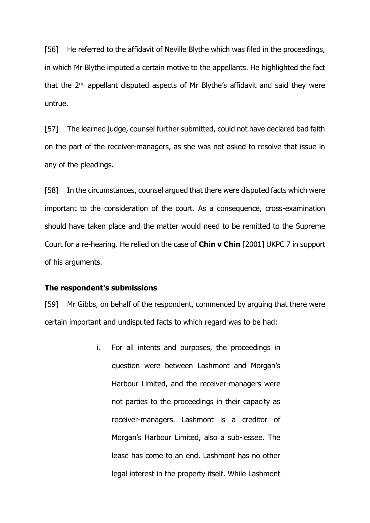[56] He referred to the affidavit of Neville Blythe which was filed in the proceedings, in which Mr Blythe imputed a certain motive to the appellants. He highlighted the fact that the 2nd appellant disputed aspects of Mr Blythe's affidavit and said they were untrue.

[57] The learned judge, counsel further submitted, could not have declared bad faith on the part of the receiver-managers, as she was not asked to resolve that issue in any of the pleadings.

[58] In the circumstances, counsel argued that there were disputed facts which were important to the consideration of the court. As a consequence, cross-examination should have taken place and the matter would need to be remitted to the Supreme Court for a re-hearing. He relied on the case of **Chin v Chin** [2001] UKPC 7 in support of his arguments.

#### **The respondent's submissions**

[59] Mr Gibbs, on behalf of the respondent, commenced by arguing that there were certain important and undisputed facts to which regard was to be had:

> i. For all intents and purposes, the proceedings in question were between Lashmont and Morgan's Harbour Limited, and the receiver-managers were not parties to the proceedings in their capacity as receiver-managers. Lashmont is a creditor of Morgan's Harbour Limited, also a sub-lessee. The lease has come to an end. Lashmont has no other legal interest in the property itself. While Lashmont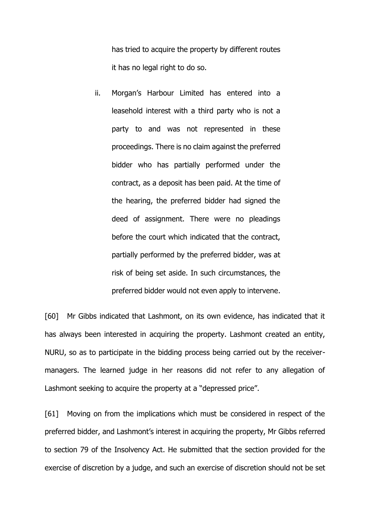has tried to acquire the property by different routes it has no legal right to do so.

ii. Morgan's Harbour Limited has entered into a leasehold interest with a third party who is not a party to and was not represented in these proceedings. There is no claim against the preferred bidder who has partially performed under the contract, as a deposit has been paid. At the time of the hearing, the preferred bidder had signed the deed of assignment. There were no pleadings before the court which indicated that the contract, partially performed by the preferred bidder, was at risk of being set aside. In such circumstances, the preferred bidder would not even apply to intervene.

[60] Mr Gibbs indicated that Lashmont, on its own evidence, has indicated that it has always been interested in acquiring the property. Lashmont created an entity, NURU, so as to participate in the bidding process being carried out by the receivermanagers. The learned judge in her reasons did not refer to any allegation of Lashmont seeking to acquire the property at a "depressed price".

[61] Moving on from the implications which must be considered in respect of the preferred bidder, and Lashmont's interest in acquiring the property, Mr Gibbs referred to section 79 of the Insolvency Act. He submitted that the section provided for the exercise of discretion by a judge, and such an exercise of discretion should not be set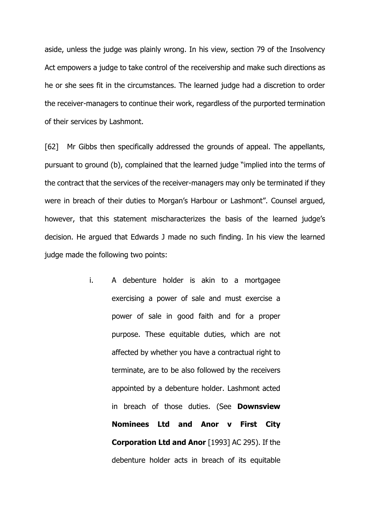aside, unless the judge was plainly wrong. In his view, section 79 of the Insolvency Act empowers a judge to take control of the receivership and make such directions as he or she sees fit in the circumstances. The learned judge had a discretion to order the receiver-managers to continue their work, regardless of the purported termination of their services by Lashmont.

[62] Mr Gibbs then specifically addressed the grounds of appeal. The appellants, pursuant to ground (b), complained that the learned judge "implied into the terms of the contract that the services of the receiver-managers may only be terminated if they were in breach of their duties to Morgan's Harbour or Lashmont". Counsel argued, however, that this statement mischaracterizes the basis of the learned judge's decision. He argued that Edwards J made no such finding. In his view the learned judge made the following two points:

> i. A debenture holder is akin to a mortgagee exercising a power of sale and must exercise a power of sale in good faith and for a proper purpose. These equitable duties, which are not affected by whether you have a contractual right to terminate, are to be also followed by the receivers appointed by a debenture holder. Lashmont acted in breach of those duties. (See **Downsview Nominees Ltd and Anor v First City Corporation Ltd and Anor** [1993] AC 295). If the debenture holder acts in breach of its equitable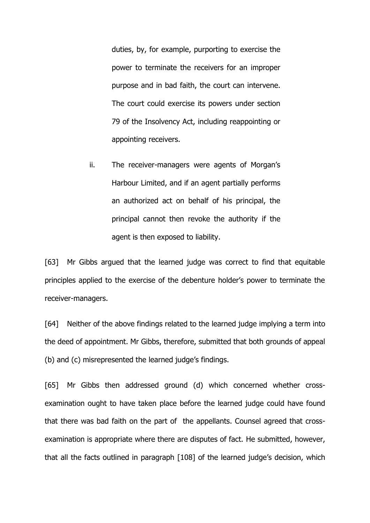duties, by, for example, purporting to exercise the power to terminate the receivers for an improper purpose and in bad faith, the court can intervene. The court could exercise its powers under section 79 of the Insolvency Act, including reappointing or appointing receivers.

ii. The receiver-managers were agents of Morgan's Harbour Limited, and if an agent partially performs an authorized act on behalf of his principal, the principal cannot then revoke the authority if the agent is then exposed to liability.

[63] Mr Gibbs argued that the learned judge was correct to find that equitable principles applied to the exercise of the debenture holder's power to terminate the receiver-managers.

[64] Neither of the above findings related to the learned judge implying a term into the deed of appointment. Mr Gibbs, therefore, submitted that both grounds of appeal (b) and (c) misrepresented the learned judge's findings.

[65] Mr Gibbs then addressed ground (d) which concerned whether crossexamination ought to have taken place before the learned judge could have found that there was bad faith on the part of the appellants. Counsel agreed that crossexamination is appropriate where there are disputes of fact. He submitted, however, that all the facts outlined in paragraph [108] of the learned judge's decision, which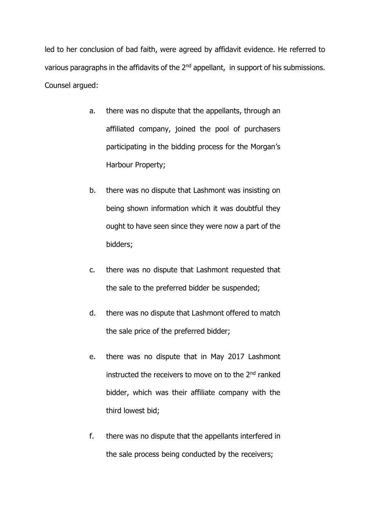led to her conclusion of bad faith, were agreed by affidavit evidence. He referred to various paragraphs in the affidavits of the 2<sup>nd</sup> appellant, in support of his submissions. Counsel argued:

- a. there was no dispute that the appellants, through an affiliated company, joined the pool of purchasers participating in the bidding process for the Morgan's Harbour Property;
- b. there was no dispute that Lashmont was insisting on being shown information which it was doubtful they ought to have seen since they were now a part of the bidders;
- c. there was no dispute that Lashmont requested that the sale to the preferred bidder be suspended;
- d. there was no dispute that Lashmont offered to match the sale price of the preferred bidder;
- e. there was no dispute that in May 2017 Lashmont instructed the receivers to move on to the  $2<sup>nd</sup>$  ranked bidder, which was their affiliate company with the third lowest bid;
- f. there was no dispute that the appellants interfered in the sale process being conducted by the receivers;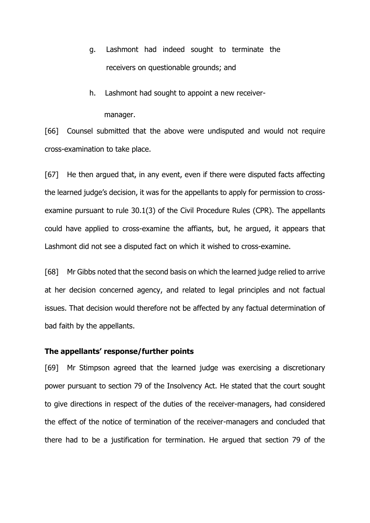- g. Lashmont had indeed sought to terminate the receivers on questionable grounds; and
- h. Lashmont had sought to appoint a new receiver-

manager.

[66] Counsel submitted that the above were undisputed and would not require cross-examination to take place.

[67] He then argued that, in any event, even if there were disputed facts affecting the learned judge's decision, it was for the appellants to apply for permission to crossexamine pursuant to rule 30.1(3) of the Civil Procedure Rules (CPR). The appellants could have applied to cross-examine the affiants, but, he argued, it appears that Lashmont did not see a disputed fact on which it wished to cross-examine.

[68] Mr Gibbs noted that the second basis on which the learned judge relied to arrive at her decision concerned agency, and related to legal principles and not factual issues. That decision would therefore not be affected by any factual determination of bad faith by the appellants.

## **The appellants' response/further points**

[69] Mr Stimpson agreed that the learned judge was exercising a discretionary power pursuant to section 79 of the Insolvency Act. He stated that the court sought to give directions in respect of the duties of the receiver-managers, had considered the effect of the notice of termination of the receiver-managers and concluded that there had to be a justification for termination. He argued that section 79 of the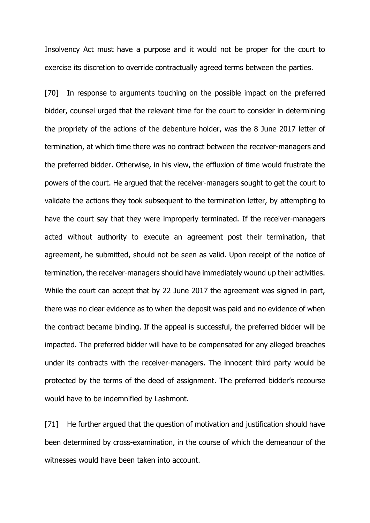Insolvency Act must have a purpose and it would not be proper for the court to exercise its discretion to override contractually agreed terms between the parties.

[70] In response to arguments touching on the possible impact on the preferred bidder, counsel urged that the relevant time for the court to consider in determining the propriety of the actions of the debenture holder, was the 8 June 2017 letter of termination, at which time there was no contract between the receiver-managers and the preferred bidder. Otherwise, in his view, the effluxion of time would frustrate the powers of the court. He argued that the receiver-managers sought to get the court to validate the actions they took subsequent to the termination letter, by attempting to have the court say that they were improperly terminated. If the receiver-managers acted without authority to execute an agreement post their termination, that agreement, he submitted, should not be seen as valid. Upon receipt of the notice of termination, the receiver-managers should have immediately wound up their activities. While the court can accept that by 22 June 2017 the agreement was signed in part, there was no clear evidence as to when the deposit was paid and no evidence of when the contract became binding. If the appeal is successful, the preferred bidder will be impacted. The preferred bidder will have to be compensated for any alleged breaches under its contracts with the receiver-managers. The innocent third party would be protected by the terms of the deed of assignment. The preferred bidder's recourse would have to be indemnified by Lashmont.

[71] He further argued that the question of motivation and justification should have been determined by cross-examination, in the course of which the demeanour of the witnesses would have been taken into account.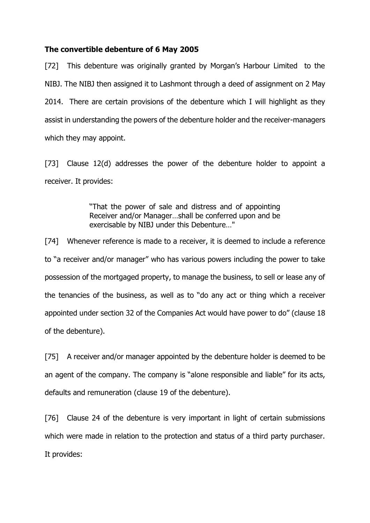### **The convertible debenture of 6 May 2005**

[72] This debenture was originally granted by Morgan's Harbour Limited to the NIBJ. The NIBJ then assigned it to Lashmont through a deed of assignment on 2 May 2014. There are certain provisions of the debenture which I will highlight as they assist in understanding the powers of the debenture holder and the receiver-managers which they may appoint.

[73] Clause 12(d) addresses the power of the debenture holder to appoint a receiver. It provides:

> "That the power of sale and distress and of appointing Receiver and/or Manager…shall be conferred upon and be exercisable by NIBJ under this Debenture…"

[74] Whenever reference is made to a receiver, it is deemed to include a reference to "a receiver and/or manager" who has various powers including the power to take possession of the mortgaged property, to manage the business, to sell or lease any of the tenancies of the business, as well as to "do any act or thing which a receiver appointed under section 32 of the Companies Act would have power to do" (clause 18 of the debenture).

[75] A receiver and/or manager appointed by the debenture holder is deemed to be an agent of the company. The company is "alone responsible and liable" for its acts, defaults and remuneration (clause 19 of the debenture).

[76] Clause 24 of the debenture is very important in light of certain submissions which were made in relation to the protection and status of a third party purchaser. It provides: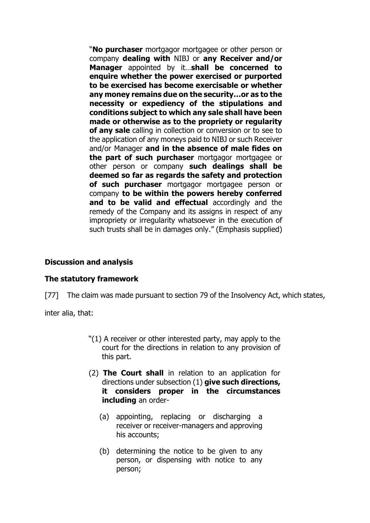"**No purchaser** mortgagor mortgagee or other person or company **dealing with** NIBJ or **any Receiver and/or Manager** appointed by it…**shall be concerned to enquire whether the power exercised or purported to be exercised has become exercisable or whether any money remains due on the security…or as to the necessity or expediency of the stipulations and conditions subject to which any sale shall have been made or otherwise as to the propriety or regularity of any sale** calling in collection or conversion or to see to the application of any moneys paid to NIBJ or such Receiver and/or Manager **and in the absence of male fides on the part of such purchaser** mortgagor mortgagee or other person or company **such dealings shall be deemed so far as regards the safety and protection of such purchaser** mortgagor mortgagee person or company **to be within the powers hereby conferred and to be valid and effectual** accordingly and the remedy of the Company and its assigns in respect of any impropriety or irregularity whatsoever in the execution of such trusts shall be in damages only." (Emphasis supplied)

## **Discussion and analysis**

### **The statutory framework**

[77] The claim was made pursuant to section 79 of the Insolvency Act, which states,

inter alia, that:

- "(1) A receiver or other interested party, may apply to the court for the directions in relation to any provision of this part.
- (2) **The Court shall** in relation to an application for directions under subsection (1) **give such directions, it considers proper in the circumstances including** an order-
	- (a) appointing, replacing or discharging a receiver or receiver-managers and approving his accounts;
	- (b) determining the notice to be given to any person, or dispensing with notice to any person;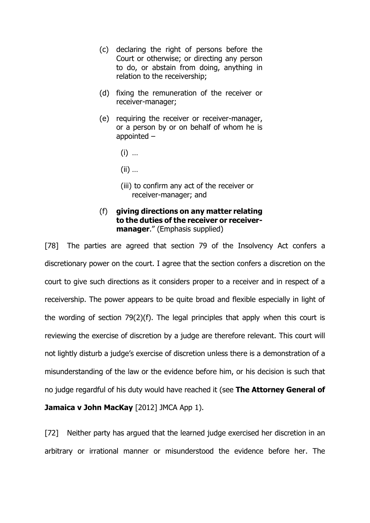- (c) declaring the right of persons before the Court or otherwise; or directing any person to do, or abstain from doing, anything in relation to the receivership;
- (d) fixing the remuneration of the receiver or receiver-manager;
- (e) requiring the receiver or receiver-manager, or a person by or on behalf of whom he is appointed –
	- (i) …
	- (ii) …
	- (iii) to confirm any act of the receiver or receiver-manager; and
- (f) **giving directions on any matter relating to the duties of the receiver or receivermanager**." (Emphasis supplied)

[78] The parties are agreed that section 79 of the Insolvency Act confers a discretionary power on the court. I agree that the section confers a discretion on the court to give such directions as it considers proper to a receiver and in respect of a receivership. The power appears to be quite broad and flexible especially in light of the wording of section 79(2)(f). The legal principles that apply when this court is reviewing the exercise of discretion by a judge are therefore relevant. This court will not lightly disturb a judge's exercise of discretion unless there is a demonstration of a misunderstanding of the law or the evidence before him, or his decision is such that no judge regardful of his duty would have reached it (see **The Attorney General of Jamaica v John MacKay** [2012] JMCA App 1).

[72] Neither party has argued that the learned judge exercised her discretion in an arbitrary or irrational manner or misunderstood the evidence before her. The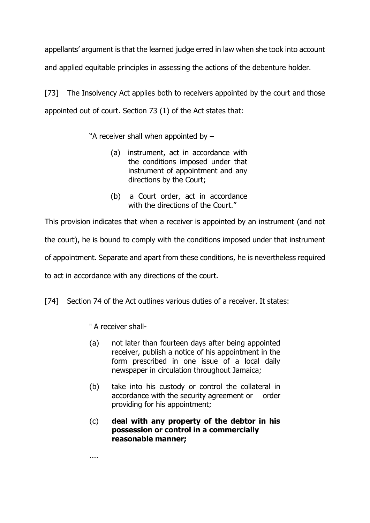appellants' argument is that the learned judge erred in law when she took into account and applied equitable principles in assessing the actions of the debenture holder.

[73] The Insolvency Act applies both to receivers appointed by the court and those appointed out of court. Section 73 (1) of the Act states that:

"A receiver shall when appointed by –

- (a) instrument, act in accordance with the conditions imposed under that instrument of appointment and any directions by the Court;
- (b) a Court order, act in accordance with the directions of the Court."

This provision indicates that when a receiver is appointed by an instrument (and not the court), he is bound to comply with the conditions imposed under that instrument of appointment. Separate and apart from these conditions, he is nevertheless required to act in accordance with any directions of the court.

[74] Section 74 of the Act outlines various duties of a receiver. It states:

" A receiver shall-

- (a) not later than fourteen days after being appointed receiver, publish a notice of his appointment in the form prescribed in one issue of a local daily newspaper in circulation throughout Jamaica;
- (b) take into his custody or control the collateral in accordance with the security agreement or order providing for his appointment;
- (c) **deal with any property of the debtor in his possession or control in a commercially reasonable manner;**

....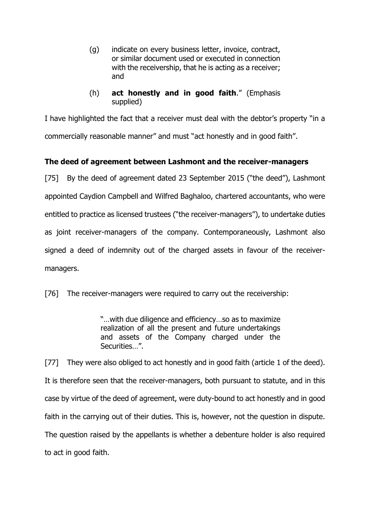- (g) indicate on every business letter, invoice, contract, or similar document used or executed in connection with the receivership, that he is acting as a receiver; and
- (h) **act honestly and in good faith**." (Emphasis supplied)

I have highlighted the fact that a receiver must deal with the debtor's property "in a commercially reasonable manner" and must "act honestly and in good faith".

# **The deed of agreement between Lashmont and the receiver-managers**

[75] By the deed of agreement dated 23 September 2015 ("the deed"), Lashmont appointed Caydion Campbell and Wilfred Baghaloo, chartered accountants, who were entitled to practice as licensed trustees ("the receiver-managers"), to undertake duties as joint receiver-managers of the company. Contemporaneously, Lashmont also signed a deed of indemnity out of the charged assets in favour of the receivermanagers.

[76] The receiver-managers were required to carry out the receivership:

"…with due diligence and efficiency…so as to maximize realization of all the present and future undertakings and assets of the Company charged under the Securities…".

[77] They were also obliged to act honestly and in good faith (article 1 of the deed). It is therefore seen that the receiver-managers, both pursuant to statute, and in this case by virtue of the deed of agreement, were duty-bound to act honestly and in good faith in the carrying out of their duties. This is, however, not the question in dispute. The question raised by the appellants is whether a debenture holder is also required to act in good faith.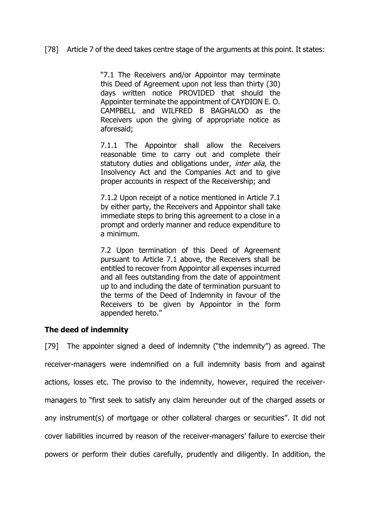## [78] Article 7 of the deed takes centre stage of the arguments at this point. It states:

"7.1 The Receivers and/or Appointor may terminate this Deed of Agreement upon not less than thirty (30) days written notice PROVIDED that should the Appointer terminate the appointment of CAYDION E. O. CAMPBELL and WILFRED B BAGHALOO as the Receivers upon the giving of appropriate notice as aforesaid;

7.1.1 The Appointor shall allow the Receivers reasonable time to carry out and complete their statutory duties and obligations under, *inter alia*, the Insolvency Act and the Companies Act and to give proper accounts in respect of the Receivership; and

7.1.2 Upon receipt of a notice mentioned in Article 7.1 by either party, the Receivers and Appointor shall take immediate steps to bring this agreement to a close in a prompt and orderly manner and reduce expenditure to a minimum.

7.2 Upon termination of this Deed of Agreement pursuant to Article 7.1 above, the Receivers shall be entitled to recover from Appointor all expenses incurred and all fees outstanding from the date of appointment up to and including the date of termination pursuant to the terms of the Deed of Indemnity in favour of the Receivers to be given by Appointor in the form appended hereto."

## **The deed of indemnity**

[79] The appointer signed a deed of indemnity ("the indemnity") as agreed. The receiver-managers were indemnified on a full indemnity basis from and against actions, losses etc. The proviso to the indemnity, however, required the receivermanagers to "first seek to satisfy any claim hereunder out of the charged assets or any instrument(s) of mortgage or other collateral charges or securities". It did not cover liabilities incurred by reason of the receiver-managers' failure to exercise their powers or perform their duties carefully, prudently and diligently. In addition, the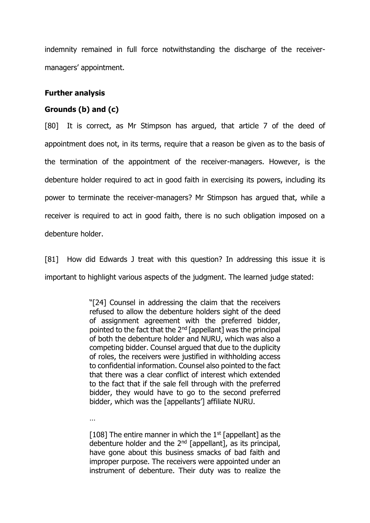indemnity remained in full force notwithstanding the discharge of the receivermanagers' appointment.

## **Further analysis**

## **Grounds (b) and (c)**

[80] It is correct, as Mr Stimpson has argued, that article 7 of the deed of appointment does not, in its terms, require that a reason be given as to the basis of the termination of the appointment of the receiver-managers. However, is the debenture holder required to act in good faith in exercising its powers, including its power to terminate the receiver-managers? Mr Stimpson has argued that, while a receiver is required to act in good faith, there is no such obligation imposed on a debenture holder.

[81] How did Edwards J treat with this question? In addressing this issue it is important to highlight various aspects of the judgment. The learned judge stated:

> "[24] Counsel in addressing the claim that the receivers refused to allow the debenture holders sight of the deed of assignment agreement with the preferred bidder, pointed to the fact that the 2nd [appellant] was the principal of both the debenture holder and NURU, which was also a competing bidder. Counsel argued that due to the duplicity of roles, the receivers were justified in withholding access to confidential information. Counsel also pointed to the fact that there was a clear conflict of interest which extended to the fact that if the sale fell through with the preferred bidder, they would have to go to the second preferred bidder, which was the [appellants'] affiliate NURU.

…

[108] The entire manner in which the  $1<sup>st</sup>$  [appellant] as the debenture holder and the 2nd [appellant], as its principal, have gone about this business smacks of bad faith and improper purpose. The receivers were appointed under an instrument of debenture. Their duty was to realize the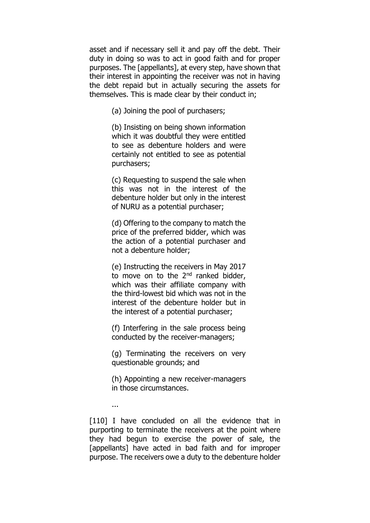asset and if necessary sell it and pay off the debt. Their duty in doing so was to act in good faith and for proper purposes. The [appellants], at every step, have shown that their interest in appointing the receiver was not in having the debt repaid but in actually securing the assets for themselves. This is made clear by their conduct in;

(a) Joining the pool of purchasers;

(b) Insisting on being shown information which it was doubtful they were entitled to see as debenture holders and were certainly not entitled to see as potential purchasers;

(c) Requesting to suspend the sale when this was not in the interest of the debenture holder but only in the interest of NURU as a potential purchaser;

(d) Offering to the company to match the price of the preferred bidder, which was the action of a potential purchaser and not a debenture holder;

(e) Instructing the receivers in May 2017 to move on to the 2<sup>nd</sup> ranked bidder, which was their affiliate company with the third-lowest bid which was not in the interest of the debenture holder but in the interest of a potential purchaser;

(f) Interfering in the sale process being conducted by the receiver-managers;

(g) Terminating the receivers on very questionable grounds; and

(h) Appointing a new receiver-managers in those circumstances.

...

[110] I have concluded on all the evidence that in purporting to terminate the receivers at the point where they had begun to exercise the power of sale, the [appellants] have acted in bad faith and for improper purpose. The receivers owe a duty to the debenture holder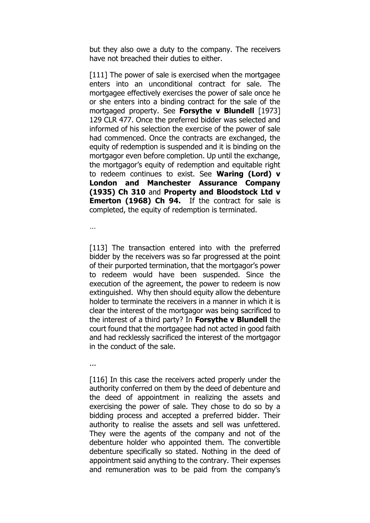but they also owe a duty to the company. The receivers have not breached their duties to either.

[111] The power of sale is exercised when the mortgagee enters into an unconditional contract for sale. The mortgagee effectively exercises the power of sale once he or she enters into a binding contract for the sale of the mortgaged property. See **Forsythe v Blundell** [1973] 129 CLR 477. Once the preferred bidder was selected and informed of his selection the exercise of the power of sale had commenced. Once the contracts are exchanged, the equity of redemption is suspended and it is binding on the mortgagor even before completion. Up until the exchange, the mortgagor's equity of redemption and equitable right to redeem continues to exist. See **Waring (Lord) v London and Manchester Assurance Company (1935) Ch 310** and **Property and Bloodstock Ltd v Emerton (1968) Ch 94.** If the contract for sale is completed, the equity of redemption is terminated.

…

[113] The transaction entered into with the preferred bidder by the receivers was so far progressed at the point of their purported termination, that the mortgagor's power to redeem would have been suspended. Since the execution of the agreement, the power to redeem is now extinguished. Why then should equity allow the debenture holder to terminate the receivers in a manner in which it is clear the interest of the mortgagor was being sacrificed to the interest of a third party? In **Forsythe v Blundell** the court found that the mortgagee had not acted in good faith and had recklessly sacrificed the interest of the mortgagor in the conduct of the sale.

...

[116] In this case the receivers acted properly under the authority conferred on them by the deed of debenture and the deed of appointment in realizing the assets and exercising the power of sale. They chose to do so by a bidding process and accepted a preferred bidder. Their authority to realise the assets and sell was unfettered. They were the agents of the company and not of the debenture holder who appointed them. The convertible debenture specifically so stated. Nothing in the deed of appointment said anything to the contrary. Their expenses and remuneration was to be paid from the company's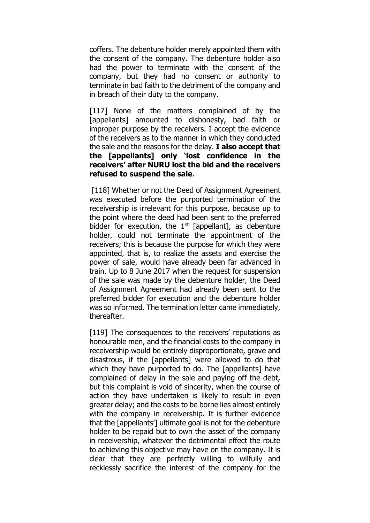coffers. The debenture holder merely appointed them with the consent of the company. The debenture holder also had the power to terminate with the consent of the company, but they had no consent or authority to terminate in bad faith to the detriment of the company and in breach of their duty to the company.

[117] None of the matters complained of by the [appellants] amounted to dishonesty, bad faith or improper purpose by the receivers. I accept the evidence of the receivers as to the manner in which they conducted the sale and the reasons for the delay. **I also accept that the [appellants] only 'lost confidence in the receivers' after NURU lost the bid and the receivers refused to suspend the sale**.

[118] Whether or not the Deed of Assignment Agreement was executed before the purported termination of the receivership is irrelevant for this purpose, because up to the point where the deed had been sent to the preferred bidder for execution, the  $1<sup>st</sup>$  [appellant], as debenture holder, could not terminate the appointment of the receivers; this is because the purpose for which they were appointed, that is, to realize the assets and exercise the power of sale, would have already been far advanced in train. Up to 8 June 2017 when the request for suspension of the sale was made by the debenture holder, the Deed of Assignment Agreement had already been sent to the preferred bidder for execution and the debenture holder was so informed. The termination letter came immediately, thereafter.

[119] The consequences to the receivers' reputations as honourable men, and the financial costs to the company in receivership would be entirely disproportionate, grave and disastrous, if the [appellants] were allowed to do that which they have purported to do. The [appellants] have complained of delay in the sale and paying off the debt, but this complaint is void of sincerity, when the course of action they have undertaken is likely to result in even greater delay; and the costs to be borne lies almost entirely with the company in receivership. It is further evidence that the [appellants'] ultimate goal is not for the debenture holder to be repaid but to own the asset of the company in receivership, whatever the detrimental effect the route to achieving this objective may have on the company. It is clear that they are perfectly willing to wilfully and recklessly sacrifice the interest of the company for the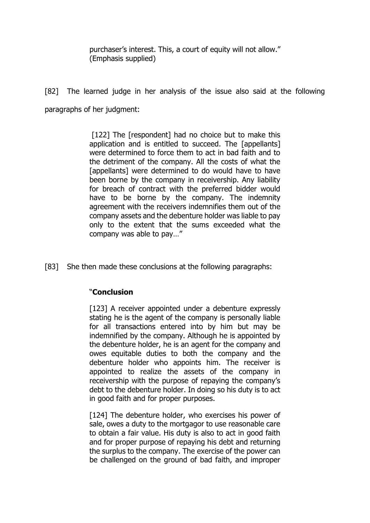purchaser's interest. This, a court of equity will not allow." (Emphasis supplied)

[82] The learned judge in her analysis of the issue also said at the following paragraphs of her judgment:

> [122] The [respondent] had no choice but to make this application and is entitled to succeed. The [appellants] were determined to force them to act in bad faith and to the detriment of the company. All the costs of what the [appellants] were determined to do would have to have been borne by the company in receivership. Any liability for breach of contract with the preferred bidder would have to be borne by the company. The indemnity agreement with the receivers indemnifies them out of the company assets and the debenture holder was liable to pay only to the extent that the sums exceeded what the company was able to pay…"

[83] She then made these conclusions at the following paragraphs:

## "**Conclusion**

[123] A receiver appointed under a debenture expressly stating he is the agent of the company is personally liable for all transactions entered into by him but may be indemnified by the company. Although he is appointed by the debenture holder, he is an agent for the company and owes equitable duties to both the company and the debenture holder who appoints him. The receiver is appointed to realize the assets of the company in receivership with the purpose of repaying the company's debt to the debenture holder. In doing so his duty is to act in good faith and for proper purposes.

[124] The debenture holder, who exercises his power of sale, owes a duty to the mortgagor to use reasonable care to obtain a fair value. His duty is also to act in good faith and for proper purpose of repaying his debt and returning the surplus to the company. The exercise of the power can be challenged on the ground of bad faith, and improper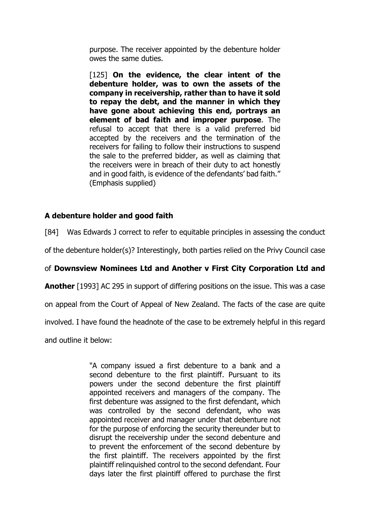purpose. The receiver appointed by the debenture holder owes the same duties.

[125] On the evidence, the clear intent of the **debenture holder, was to own the assets of the company in receivership, rather than to have it sold to repay the debt, and the manner in which they have gone about achieving this end, portrays an element of bad faith and improper purpose**. The refusal to accept that there is a valid preferred bid accepted by the receivers and the termination of the receivers for failing to follow their instructions to suspend the sale to the preferred bidder, as well as claiming that the receivers were in breach of their duty to act honestly and in good faith, is evidence of the defendants' bad faith." (Emphasis supplied)

# **A debenture holder and good faith**

[84] Was Edwards J correct to refer to equitable principles in assessing the conduct

of the debenture holder(s)? Interestingly, both parties relied on the Privy Council case

# of **Downsview Nominees Ltd and Another v First City Corporation Ltd and**

**Another** [1993] AC 295 in support of differing positions on the issue. This was a case

on appeal from the Court of Appeal of New Zealand. The facts of the case are quite

involved. I have found the headnote of the case to be extremely helpful in this regard

and outline it below:

"A company issued a first debenture to a bank and a second debenture to the first plaintiff. Pursuant to its powers under the second debenture the first plaintiff appointed receivers and managers of the company. The first debenture was assigned to the first defendant, which was controlled by the second defendant, who was appointed receiver and manager under that debenture not for the purpose of enforcing the security thereunder but to disrupt the receivership under the second debenture and to prevent the enforcement of the second debenture by the first plaintiff. The receivers appointed by the first plaintiff relinquished control to the second defendant. Four days later the first plaintiff offered to purchase the first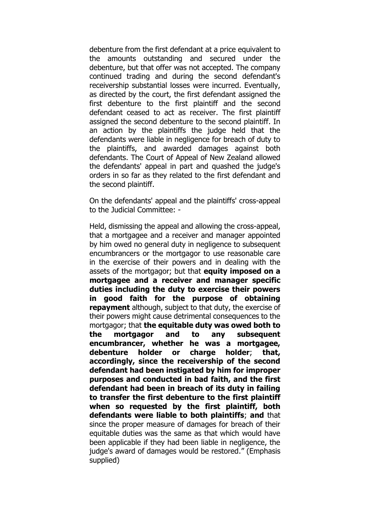debenture from the first defendant at a price equivalent to the amounts outstanding and secured under the debenture, but that offer was not accepted. The company continued trading and during the second defendant's receivership substantial losses were incurred. Eventually, as directed by the court, the first defendant assigned the first debenture to the first plaintiff and the second defendant ceased to act as receiver. The first plaintiff assigned the second debenture to the second plaintiff. In an action by the plaintiffs the judge held that the defendants were liable in negligence for breach of duty to the plaintiffs, and awarded damages against both defendants. The Court of Appeal of New Zealand allowed the defendants' appeal in part and quashed the judge's orders in so far as they related to the first defendant and the second plaintiff.

On the defendants' appeal and the plaintiffs' cross-appeal to the Judicial Committee: -

Held, dismissing the appeal and allowing the cross-appeal, that a mortgagee and a receiver and manager appointed by him owed no general duty in negligence to subsequent encumbrancers or the mortgagor to use reasonable care in the exercise of their powers and in dealing with the assets of the mortgagor; but that **equity imposed on a mortgagee and a receiver and manager specific duties including the duty to exercise their powers in good faith for the purpose of obtaining repayment** although, subject to that duty, the exercise of their powers might cause detrimental consequences to the mortgagor; that **the equitable duty was owed both to the mortgagor and to any subsequent encumbrancer, whether he was a mortgagee, debenture holder or charge holder**; **that, accordingly, since the receivership of the second defendant had been instigated by him for improper purposes and conducted in bad faith, and the first defendant had been in breach of its duty in failing to transfer the first debenture to the first plaintiff when so requested by the first plaintiff, both defendants were liable to both plaintiffs**; **and** that since the proper measure of damages for breach of their equitable duties was the same as that which would have been applicable if they had been liable in negligence, the judge's award of damages would be restored." (Emphasis supplied)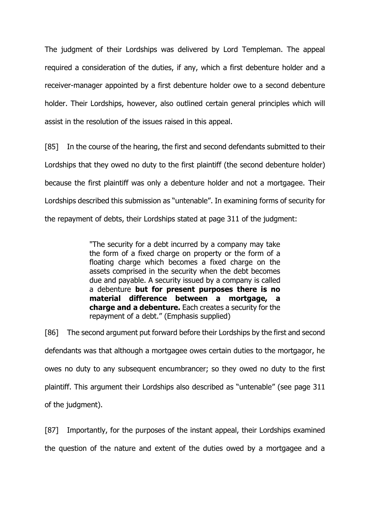The judgment of their Lordships was delivered by Lord Templeman. The appeal required a consideration of the duties, if any, which a first debenture holder and a receiver-manager appointed by a first debenture holder owe to a second debenture holder. Their Lordships, however, also outlined certain general principles which will assist in the resolution of the issues raised in this appeal.

[85] In the course of the hearing, the first and second defendants submitted to their Lordships that they owed no duty to the first plaintiff (the second debenture holder) because the first plaintiff was only a debenture holder and not a mortgagee. Their Lordships described this submission as "untenable". In examining forms of security for the repayment of debts, their Lordships stated at page 311 of the judgment:

> "The security for a debt incurred by a company may take the form of a fixed charge on property or the form of a floating charge which becomes a fixed charge on the assets comprised in the security when the debt becomes due and payable. A security issued by a company is called a debenture **but for present purposes there is no material difference between a mortgage, a charge and a debenture.** Each creates a security for the repayment of a debt." (Emphasis supplied)

[86] The second argument put forward before their Lordships by the first and second defendants was that although a mortgagee owes certain duties to the mortgagor, he owes no duty to any subsequent encumbrancer; so they owed no duty to the first plaintiff. This argument their Lordships also described as "untenable" (see page 311 of the judgment).

[87] Importantly, for the purposes of the instant appeal, their Lordships examined the question of the nature and extent of the duties owed by a mortgagee and a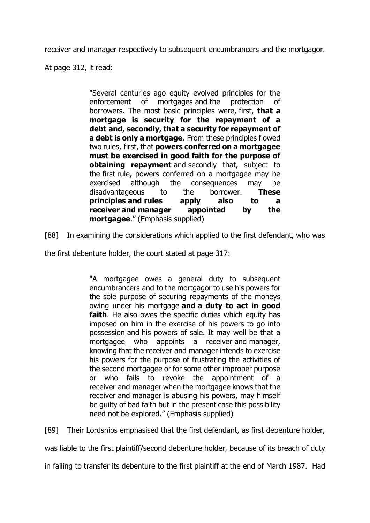receiver and manager respectively to subsequent encumbrancers and the mortgagor.

At page 312, it read:

"Several centuries ago equity evolved principles for the enforcement of mortgages and the protection of borrowers. The most basic principles were, first, **that a mortgage is security for the repayment of a debt and, secondly, that a security for repayment of a debt is only a mortgage.** From these principles flowed two rules, first, that **powers conferred on a mortgagee must be exercised in good faith for the purpose of obtaining repayment** and secondly that, subject to the first rule, powers conferred on a mortgagee may be exercised although the consequences may be disadvantageous to the borrower. **These principles and rules apply also to a receiver and manager appointed by the mortgagee**." (Emphasis supplied)

[88] In examining the considerations which applied to the first defendant, who was

the first debenture holder, the court stated at page 317:

"A mortgagee owes a general duty to subsequent encumbrancers and to the mortgagor to use his powers for the sole purpose of securing repayments of the moneys owing under his mortgage **and a duty to act in good faith.** He also owes the specific duties which equity has imposed on him in the exercise of his powers to go into possession and his powers of sale. It may well be that a mortgagee who appoints a receiver and manager, knowing that the receiver and manager intends to exercise his powers for the purpose of frustrating the activities of the second mortgagee or for some other improper purpose or who fails to revoke the appointment of a receiver and manager when the mortgagee knows that the receiver and manager is abusing his powers, may himself be guilty of bad faith but in the present case this possibility need not be explored." (Emphasis supplied)

[89] Their Lordships emphasised that the first defendant, as first debenture holder,

was liable to the first plaintiff/second debenture holder, because of its breach of duty

in failing to transfer its debenture to the first plaintiff at the end of March 1987. Had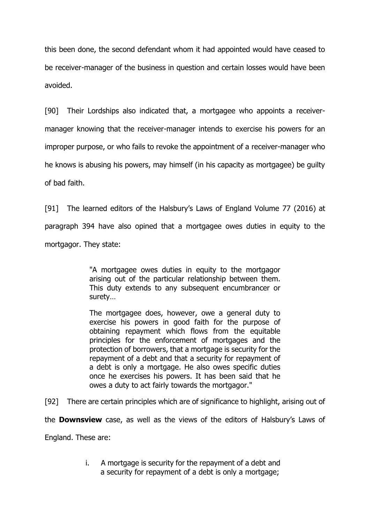this been done, the second defendant whom it had appointed would have ceased to be receiver-manager of the business in question and certain losses would have been avoided.

[90] Their Lordships also indicated that, a mortgagee who appoints a receivermanager knowing that the receiver-manager intends to exercise his powers for an improper purpose, or who fails to revoke the appointment of a receiver-manager who he knows is abusing his powers, may himself (in his capacity as mortgagee) be guilty of bad faith.

[91] The learned editors of the Halsbury's Laws of England Volume 77 (2016) at paragraph 394 have also opined that a mortgagee owes duties in equity to the mortgagor. They state:

> "A mortgagee owes duties in equity to the mortgagor arising out of the particular relationship between them. This duty extends to any subsequent encumbrancer or surety…

> The mortgagee does, however, owe a general duty to exercise his powers in good faith for the purpose of obtaining repayment which flows from the equitable principles for the enforcement of mortgages and the protection of borrowers, that a mortgage is security for the repayment of a debt and that a security for repayment of a debt is only a mortgage. He also owes specific duties once he exercises his powers. It has been said that he owes a duty to act fairly towards the mortgagor."

[92] There are certain principles which are of significance to highlight, arising out of

the **Downsview** case, as well as the views of the editors of Halsbury's Laws of

England. These are:

i. A mortgage is security for the repayment of a debt and a security for repayment of a debt is only a mortgage;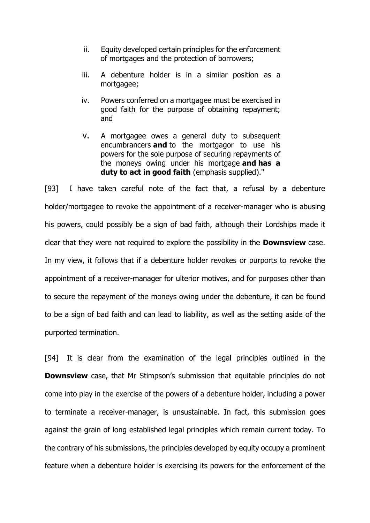- ii. Equity developed certain principles for the enforcement of mortgages and the protection of borrowers;
- iii. A debenture holder is in a similar position as a mortgagee;
- iv. Powers conferred on a mortgagee must be exercised in good faith for the purpose of obtaining repayment; and
- v. A mortgagee owes a general duty to subsequent encumbrancers **and** to the mortgagor to use his powers for the sole purpose of securing repayments of the moneys owing under his mortgage **and has a duty to act in good faith** (emphasis supplied)."

[93] I have taken careful note of the fact that, a refusal by a debenture holder/mortgagee to revoke the appointment of a receiver-manager who is abusing his powers, could possibly be a sign of bad faith, although their Lordships made it clear that they were not required to explore the possibility in the **Downsview** case. In my view, it follows that if a debenture holder revokes or purports to revoke the appointment of a receiver-manager for ulterior motives, and for purposes other than to secure the repayment of the moneys owing under the debenture, it can be found to be a sign of bad faith and can lead to liability, as well as the setting aside of the purported termination.

[94] It is clear from the examination of the legal principles outlined in the **Downsview** case, that Mr Stimpson's submission that equitable principles do not come into play in the exercise of the powers of a debenture holder, including a power to terminate a receiver-manager, is unsustainable. In fact, this submission goes against the grain of long established legal principles which remain current today. To the contrary of his submissions, the principles developed by equity occupy a prominent feature when a debenture holder is exercising its powers for the enforcement of the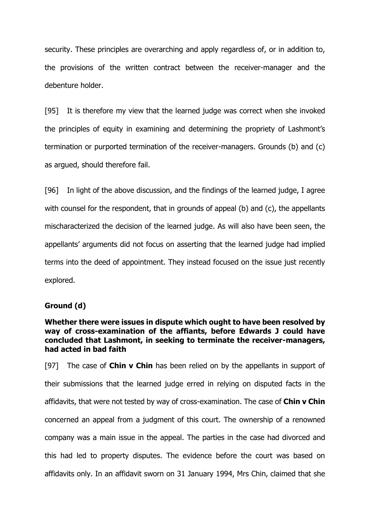security. These principles are overarching and apply regardless of, or in addition to, the provisions of the written contract between the receiver-manager and the debenture holder.

[95] It is therefore my view that the learned judge was correct when she invoked the principles of equity in examining and determining the propriety of Lashmont's termination or purported termination of the receiver-managers. Grounds (b) and (c) as argued, should therefore fail.

[96] In light of the above discussion, and the findings of the learned judge, I agree with counsel for the respondent, that in grounds of appeal (b) and (c), the appellants mischaracterized the decision of the learned judge. As will also have been seen, the appellants' arguments did not focus on asserting that the learned judge had implied terms into the deed of appointment. They instead focused on the issue just recently explored.

#### **Ground (d)**

### **Whether there were issues in dispute which ought to have been resolved by way of cross-examination of the affiants, before Edwards J could have concluded that Lashmont, in seeking to terminate the receiver-managers, had acted in bad faith**

[97] The case of **Chin v Chin** has been relied on by the appellants in support of their submissions that the learned judge erred in relying on disputed facts in the affidavits, that were not tested by way of cross-examination. The case of **Chin v Chin** concerned an appeal from a judgment of this court. The ownership of a renowned company was a main issue in the appeal. The parties in the case had divorced and this had led to property disputes. The evidence before the court was based on affidavits only. In an affidavit sworn on 31 January 1994, Mrs Chin, claimed that she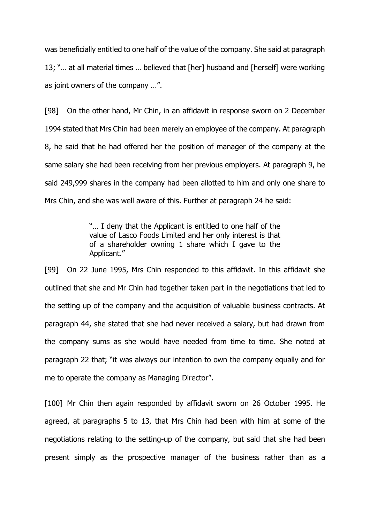was beneficially entitled to one half of the value of the company. She said at paragraph 13; "… at all material times … believed that [her] husband and [herself] were working as joint owners of the company …".

[98] On the other hand, Mr Chin, in an affidavit in response sworn on 2 December 1994 stated that Mrs Chin had been merely an employee of the company. At paragraph 8, he said that he had offered her the position of manager of the company at the same salary she had been receiving from her previous employers. At paragraph 9, he said 249,999 shares in the company had been allotted to him and only one share to Mrs Chin, and she was well aware of this. Further at paragraph 24 he said:

> "… I deny that the Applicant is entitled to one half of the value of Lasco Foods Limited and her only interest is that of a shareholder owning 1 share which I gave to the Applicant."

[99] On 22 June 1995, Mrs Chin responded to this affidavit. In this affidavit she outlined that she and Mr Chin had together taken part in the negotiations that led to the setting up of the company and the acquisition of valuable business contracts. At paragraph 44, she stated that she had never received a salary, but had drawn from the company sums as she would have needed from time to time. She noted at paragraph 22 that; "it was always our intention to own the company equally and for me to operate the company as Managing Director".

[100] Mr Chin then again responded by affidavit sworn on 26 October 1995. He agreed, at paragraphs 5 to 13, that Mrs Chin had been with him at some of the negotiations relating to the setting-up of the company, but said that she had been present simply as the prospective manager of the business rather than as a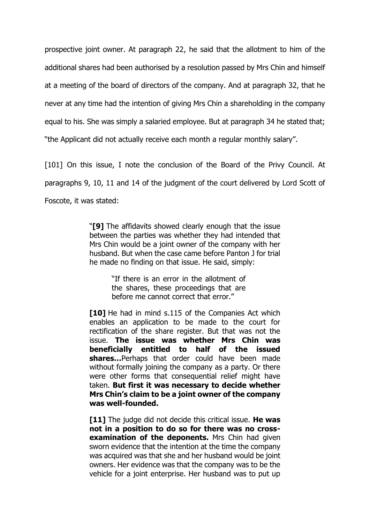prospective joint owner. At paragraph 22, he said that the allotment to him of the additional shares had been authorised by a resolution passed by Mrs Chin and himself at a meeting of the board of directors of the company. And at paragraph 32, that he never at any time had the intention of giving Mrs Chin a shareholding in the company equal to his. She was simply a salaried employee. But at paragraph 34 he stated that; "the Applicant did not actually receive each month a regular monthly salary".

[101] On this issue, I note the conclusion of the Board of the Privy Council. At paragraphs 9, 10, 11 and 14 of the judgment of the court delivered by Lord Scott of Foscote, it was stated:

> "**[9]** The affidavits showed clearly enough that the issue between the parties was whether they had intended that Mrs Chin would be a joint owner of the company with her husband. But when the case came before Panton J for trial he made no finding on that issue. He said, simply:

> > "If there is an error in the allotment of the shares, these proceedings that are before me cannot correct that error."

**[10]** He had in mind s.115 of the Companies Act which enables an application to be made to the court for rectification of the share register. But that was not the issue. **The issue was whether Mrs Chin was beneficially entitled to half of the issued shares…**Perhaps that order could have been made without formally joining the company as a party. Or there were other forms that consequential relief might have taken. **But first it was necessary to decide whether Mrs Chin's claim to be a joint owner of the company was well-founded.**

**[11]** The judge did not decide this critical issue. **He was not in a position to do so for there was no crossexamination of the deponents.** Mrs Chin had given sworn evidence that the intention at the time the company was acquired was that she and her husband would be joint owners. Her evidence was that the company was to be the vehicle for a joint enterprise. Her husband was to put up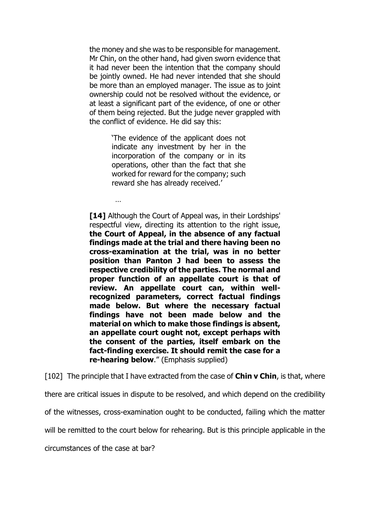the money and she was to be responsible for management. Mr Chin, on the other hand, had given sworn evidence that it had never been the intention that the company should be jointly owned. He had never intended that she should be more than an employed manager. The issue as to joint ownership could not be resolved without the evidence, or at least a significant part of the evidence, of one or other of them being rejected. But the judge never grappled with the conflict of evidence. He did say this:

> 'The evidence of the applicant does not indicate any investment by her in the incorporation of the company or in its operations, other than the fact that she worked for reward for the company; such reward she has already received.'

**[14]** Although the Court of Appeal was, in their Lordships' respectful view, directing its attention to the right issue, **the Court of Appeal, in the absence of any factual findings made at the trial and there having been no cross-examination at the trial, was in no better position than Panton J had been to assess the respective credibility of the parties. The normal and proper function of an appellate court is that of review. An appellate court can, within wellrecognized parameters, correct factual findings made below. But where the necessary factual findings have not been made below and the material on which to make those findings is absent, an appellate court ought not, except perhaps with the consent of the parties, itself embark on the fact-finding exercise. It should remit the case for a re-hearing below**." (Emphasis supplied)

[102] The principle that I have extracted from the case of **Chin v Chin**, is that, where

there are critical issues in dispute to be resolved, and which depend on the credibility

of the witnesses, cross-examination ought to be conducted, failing which the matter

will be remitted to the court below for rehearing. But is this principle applicable in the

circumstances of the case at bar?

…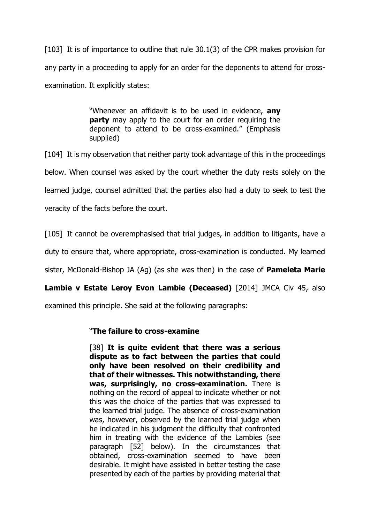[103] It is of importance to outline that rule 30.1(3) of the CPR makes provision for any party in a proceeding to apply for an order for the deponents to attend for crossexamination. It explicitly states:

> "Whenever an affidavit is to be used in evidence, **any party** may apply to the court for an order requiring the deponent to attend to be cross-examined." (Emphasis supplied)

[104] It is my observation that neither party took advantage of this in the proceedings below. When counsel was asked by the court whether the duty rests solely on the learned judge, counsel admitted that the parties also had a duty to seek to test the veracity of the facts before the court.

[105] It cannot be overemphasised that trial judges, in addition to litigants, have a

duty to ensure that, where appropriate, cross-examination is conducted. My learned

sister, McDonald-Bishop JA (Ag) (as she was then) in the case of **Pameleta Marie** 

**Lambie v Estate Leroy Evon Lambie (Deceased)** [2014] JMCA Civ 45, also

examined this principle. She said at the following paragraphs:

## "**The failure to cross-examine**

[38] **It is quite evident that there was a serious dispute as to fact between the parties that could only have been resolved on their credibility and that of their witnesses. This notwithstanding, there was, surprisingly, no cross-examination.** There is nothing on the record of appeal to indicate whether or not this was the choice of the parties that was expressed to the learned trial judge. The absence of cross-examination was, however, observed by the learned trial judge when he indicated in his judgment the difficulty that confronted him in treating with the evidence of the Lambies (see paragraph [52] below). In the circumstances that obtained, cross-examination seemed to have been desirable. It might have assisted in better testing the case presented by each of the parties by providing material that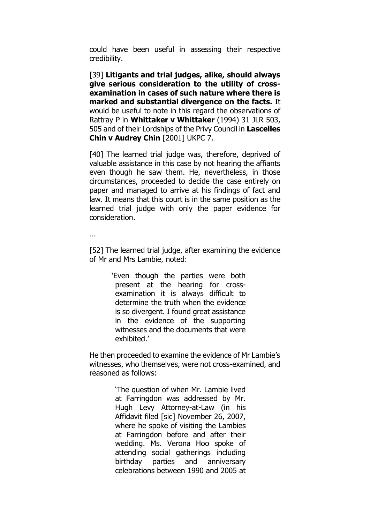could have been useful in assessing their respective credibility.

[39] **Litigants and trial judges, alike, should always give serious consideration to the utility of crossexamination in cases of such nature where there is marked and substantial divergence on the facts.** It would be useful to note in this regard the observations of Rattray P in **Whittaker v Whittaker** (1994) 31 JLR 503, 505 and of their Lordships of the Privy Council in **Lascelles Chin v Audrey Chin** [2001] UKPC 7.

[40] The learned trial judge was, therefore, deprived of valuable assistance in this case by not hearing the affiants even though he saw them. He, nevertheless, in those circumstances, proceeded to decide the case entirely on paper and managed to arrive at his findings of fact and law. It means that this court is in the same position as the learned trial judge with only the paper evidence for consideration.

…

[52] The learned trial judge, after examining the evidence of Mr and Mrs Lambie, noted:

> 'Even though the parties were both present at the hearing for crossexamination it is always difficult to determine the truth when the evidence is so divergent. I found great assistance in the evidence of the supporting witnesses and the documents that were exhibited.'

He then proceeded to examine the evidence of Mr Lambie's witnesses, who themselves, were not cross-examined, and reasoned as follows:

> 'The question of when Mr. Lambie lived at Farringdon was addressed by Mr. Hugh Levy Attorney-at-Law (in his Affidavit filed [sic] November 26, 2007, where he spoke of visiting the Lambies at Farringdon before and after their wedding. Ms. Verona Hoo spoke of attending social gatherings including birthday parties and anniversary celebrations between 1990 and 2005 at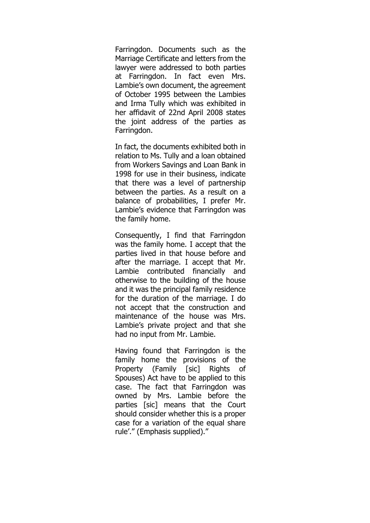Farringdon. Documents such as the Marriage Certificate and letters from the lawyer were addressed to both parties at Farringdon. In fact even Mrs. Lambie's own document, the agreement of October 1995 between the Lambies and Irma Tully which was exhibited in her affidavit of 22nd April 2008 states the joint address of the parties as Farringdon.

In fact, the documents exhibited both in relation to Ms. Tully and a loan obtained from Workers Savings and Loan Bank in 1998 for use in their business, indicate that there was a level of partnership between the parties. As a result on a balance of probabilities, I prefer Mr. Lambie's evidence that Farringdon was the family home.

Consequently, I find that Farringdon was the family home. I accept that the parties lived in that house before and after the marriage. I accept that Mr. Lambie contributed financially and otherwise to the building of the house and it was the principal family residence for the duration of the marriage. I do not accept that the construction and maintenance of the house was Mrs. Lambie's private project and that she had no input from Mr. Lambie.

Having found that Farringdon is the family home the provisions of the Property (Family [sic] Rights of Spouses) Act have to be applied to this case. The fact that Farringdon was owned by Mrs. Lambie before the parties [sic] means that the Court should consider whether this is a proper case for a variation of the equal share rule'." (Emphasis supplied)."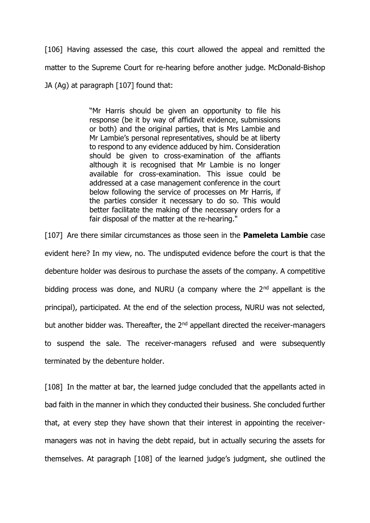[106] Having assessed the case, this court allowed the appeal and remitted the matter to the Supreme Court for re-hearing before another judge. McDonald-Bishop JA (Ag) at paragraph [107] found that:

> "Mr Harris should be given an opportunity to file his response (be it by way of affidavit evidence, submissions or both) and the original parties, that is Mrs Lambie and Mr Lambie's personal representatives, should be at liberty to respond to any evidence adduced by him. Consideration should be given to cross-examination of the affiants although it is recognised that Mr Lambie is no longer available for cross-examination. This issue could be addressed at a case management conference in the court below following the service of processes on Mr Harris, if the parties consider it necessary to do so. This would better facilitate the making of the necessary orders for a fair disposal of the matter at the re-hearing."

[107] Are there similar circumstances as those seen in the **Pameleta Lambie** case evident here? In my view, no. The undisputed evidence before the court is that the debenture holder was desirous to purchase the assets of the company. A competitive bidding process was done, and NURU (a company where the  $2<sup>nd</sup>$  appellant is the principal), participated. At the end of the selection process, NURU was not selected, but another bidder was. Thereafter, the  $2<sup>nd</sup>$  appellant directed the receiver-managers to suspend the sale. The receiver-managers refused and were subsequently terminated by the debenture holder.

[108] In the matter at bar, the learned judge concluded that the appellants acted in bad faith in the manner in which they conducted their business. She concluded further that, at every step they have shown that their interest in appointing the receivermanagers was not in having the debt repaid, but in actually securing the assets for themselves. At paragraph [108] of the learned judge's judgment, she outlined the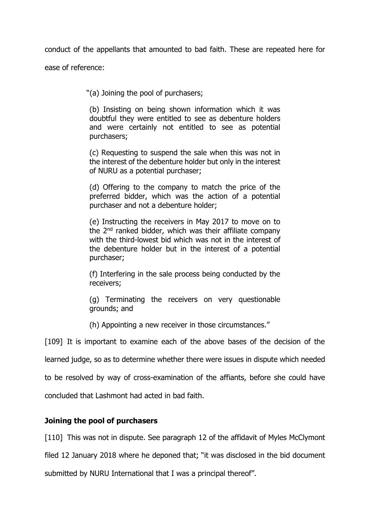conduct of the appellants that amounted to bad faith. These are repeated here for

ease of reference:

"(a) Joining the pool of purchasers;

(b) Insisting on being shown information which it was doubtful they were entitled to see as debenture holders and were certainly not entitled to see as potential purchasers;

(c) Requesting to suspend the sale when this was not in the interest of the debenture holder but only in the interest of NURU as a potential purchaser;

(d) Offering to the company to match the price of the preferred bidder, which was the action of a potential purchaser and not a debenture holder;

(e) Instructing the receivers in May 2017 to move on to the 2nd ranked bidder, which was their affiliate company with the third-lowest bid which was not in the interest of the debenture holder but in the interest of a potential purchaser;

(f) Interfering in the sale process being conducted by the receivers;

(g) Terminating the receivers on very questionable grounds; and

(h) Appointing a new receiver in those circumstances."

[109] It is important to examine each of the above bases of the decision of the

learned judge, so as to determine whether there were issues in dispute which needed

to be resolved by way of cross-examination of the affiants, before she could have

concluded that Lashmont had acted in bad faith.

### **Joining the pool of purchasers**

[110] This was not in dispute. See paragraph 12 of the affidavit of Myles McClymont

filed 12 January 2018 where he deponed that; "it was disclosed in the bid document

submitted by NURU International that I was a principal thereof".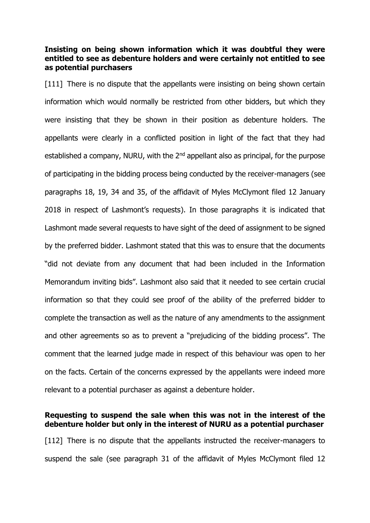## **Insisting on being shown information which it was doubtful they were entitled to see as debenture holders and were certainly not entitled to see as potential purchasers**

[111] There is no dispute that the appellants were insisting on being shown certain information which would normally be restricted from other bidders, but which they were insisting that they be shown in their position as debenture holders. The appellants were clearly in a conflicted position in light of the fact that they had established a company, NURU, with the 2<sup>nd</sup> appellant also as principal, for the purpose of participating in the bidding process being conducted by the receiver-managers (see paragraphs 18, 19, 34 and 35, of the affidavit of Myles McClymont filed 12 January 2018 in respect of Lashmont's requests). In those paragraphs it is indicated that Lashmont made several requests to have sight of the deed of assignment to be signed by the preferred bidder. Lashmont stated that this was to ensure that the documents "did not deviate from any document that had been included in the Information Memorandum inviting bids". Lashmont also said that it needed to see certain crucial information so that they could see proof of the ability of the preferred bidder to complete the transaction as well as the nature of any amendments to the assignment and other agreements so as to prevent a "prejudicing of the bidding process". The comment that the learned judge made in respect of this behaviour was open to her on the facts. Certain of the concerns expressed by the appellants were indeed more relevant to a potential purchaser as against a debenture holder.

### **Requesting to suspend the sale when this was not in the interest of the debenture holder but only in the interest of NURU as a potential purchaser**

[112] There is no dispute that the appellants instructed the receiver-managers to suspend the sale (see paragraph 31 of the affidavit of Myles McClymont filed 12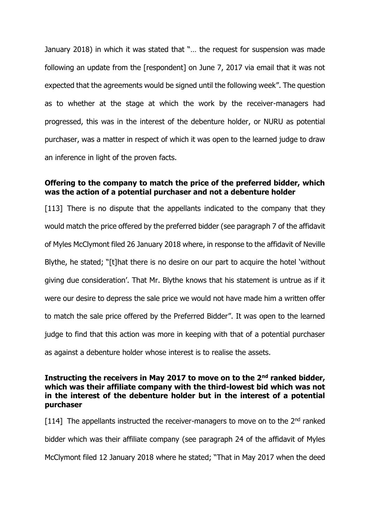January 2018) in which it was stated that "… the request for suspension was made following an update from the [respondent] on June 7, 2017 via email that it was not expected that the agreements would be signed until the following week". The question as to whether at the stage at which the work by the receiver-managers had progressed, this was in the interest of the debenture holder, or NURU as potential purchaser, was a matter in respect of which it was open to the learned judge to draw an inference in light of the proven facts.

## **Offering to the company to match the price of the preferred bidder, which was the action of a potential purchaser and not a debenture holder**

[113] There is no dispute that the appellants indicated to the company that they would match the price offered by the preferred bidder (see paragraph 7 of the affidavit of Myles McClymont filed 26 January 2018 where, in response to the affidavit of Neville Blythe, he stated; "[t]hat there is no desire on our part to acquire the hotel 'without giving due consideration'. That Mr. Blythe knows that his statement is untrue as if it were our desire to depress the sale price we would not have made him a written offer to match the sale price offered by the Preferred Bidder". It was open to the learned judge to find that this action was more in keeping with that of a potential purchaser as against a debenture holder whose interest is to realise the assets.

## **Instructing the receivers in May 2017 to move on to the 2nd ranked bidder, which was their affiliate company with the third-lowest bid which was not in the interest of the debenture holder but in the interest of a potential purchaser**

[114] The appellants instructed the receiver-managers to move on to the  $2<sup>nd</sup>$  ranked bidder which was their affiliate company (see paragraph 24 of the affidavit of Myles McClymont filed 12 January 2018 where he stated; "That in May 2017 when the deed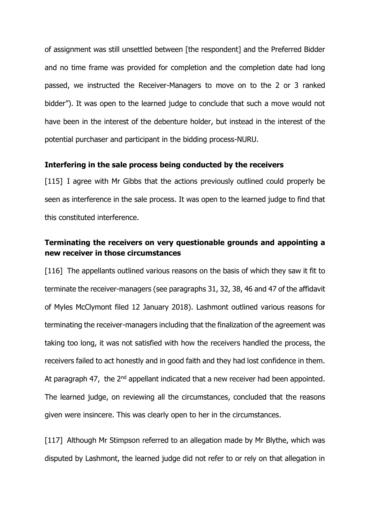of assignment was still unsettled between [the respondent] and the Preferred Bidder and no time frame was provided for completion and the completion date had long passed, we instructed the Receiver-Managers to move on to the 2 or 3 ranked bidder"). It was open to the learned judge to conclude that such a move would not have been in the interest of the debenture holder, but instead in the interest of the potential purchaser and participant in the bidding process-NURU.

## **Interfering in the sale process being conducted by the receivers**

[115] I agree with Mr Gibbs that the actions previously outlined could properly be seen as interference in the sale process. It was open to the learned judge to find that this constituted interference.

# **Terminating the receivers on very questionable grounds and appointing a new receiver in those circumstances**

[116] The appellants outlined various reasons on the basis of which they saw it fit to terminate the receiver-managers (see paragraphs 31, 32, 38, 46 and 47 of the affidavit of Myles McClymont filed 12 January 2018). Lashmont outlined various reasons for terminating the receiver-managers including that the finalization of the agreement was taking too long, it was not satisfied with how the receivers handled the process, the receivers failed to act honestly and in good faith and they had lost confidence in them. At paragraph 47, the  $2<sup>nd</sup>$  appellant indicated that a new receiver had been appointed. The learned judge, on reviewing all the circumstances, concluded that the reasons given were insincere. This was clearly open to her in the circumstances.

[117] Although Mr Stimpson referred to an allegation made by Mr Blythe, which was disputed by Lashmont, the learned judge did not refer to or rely on that allegation in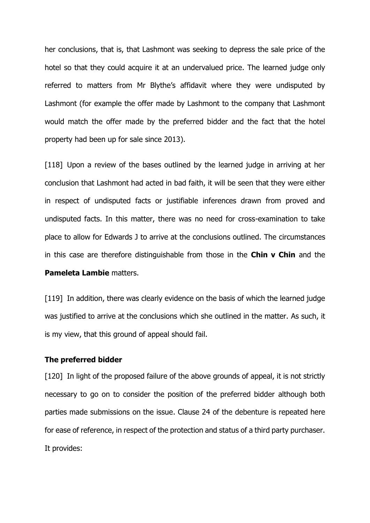her conclusions, that is, that Lashmont was seeking to depress the sale price of the hotel so that they could acquire it at an undervalued price. The learned judge only referred to matters from Mr Blythe's affidavit where they were undisputed by Lashmont (for example the offer made by Lashmont to the company that Lashmont would match the offer made by the preferred bidder and the fact that the hotel property had been up for sale since 2013).

[118] Upon a review of the bases outlined by the learned judge in arriving at her conclusion that Lashmont had acted in bad faith, it will be seen that they were either in respect of undisputed facts or justifiable inferences drawn from proved and undisputed facts. In this matter, there was no need for cross-examination to take place to allow for Edwards J to arrive at the conclusions outlined. The circumstances in this case are therefore distinguishable from those in the **Chin v Chin** and the **Pameleta Lambie** matters.

[119] In addition, there was clearly evidence on the basis of which the learned judge was justified to arrive at the conclusions which she outlined in the matter. As such, it is my view, that this ground of appeal should fail.

#### **The preferred bidder**

[120] In light of the proposed failure of the above grounds of appeal, it is not strictly necessary to go on to consider the position of the preferred bidder although both parties made submissions on the issue. Clause 24 of the debenture is repeated here for ease of reference, in respect of the protection and status of a third party purchaser. It provides: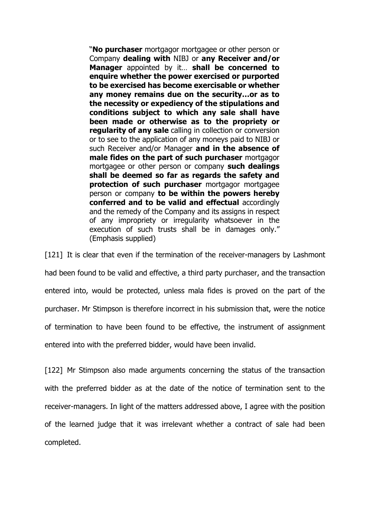"**No purchaser** mortgagor mortgagee or other person or Company **dealing with** NIBJ or **any Receiver and/or Manager** appointed by it… **shall be concerned to enquire whether the power exercised or purported to be exercised has become exercisable or whether any money remains due on the security…or as to the necessity or expediency of the stipulations and conditions subject to which any sale shall have been made or otherwise as to the propriety or regularity of any sale** calling in collection or conversion or to see to the application of any moneys paid to NIBJ or such Receiver and/or Manager **and in the absence of male fides on the part of such purchaser** mortgagor mortgagee or other person or company **such dealings shall be deemed so far as regards the safety and protection of such purchaser** mortgagor mortgagee person or company **to be within the powers hereby conferred and to be valid and effectual** accordingly and the remedy of the Company and its assigns in respect of any impropriety or irregularity whatsoever in the execution of such trusts shall be in damages only." (Emphasis supplied)

[121] It is clear that even if the termination of the receiver-managers by Lashmont had been found to be valid and effective, a third party purchaser, and the transaction entered into, would be protected, unless mala fides is proved on the part of the purchaser. Mr Stimpson is therefore incorrect in his submission that, were the notice of termination to have been found to be effective, the instrument of assignment entered into with the preferred bidder, would have been invalid.

[122] Mr Stimpson also made arguments concerning the status of the transaction with the preferred bidder as at the date of the notice of termination sent to the receiver-managers. In light of the matters addressed above, I agree with the position of the learned judge that it was irrelevant whether a contract of sale had been completed.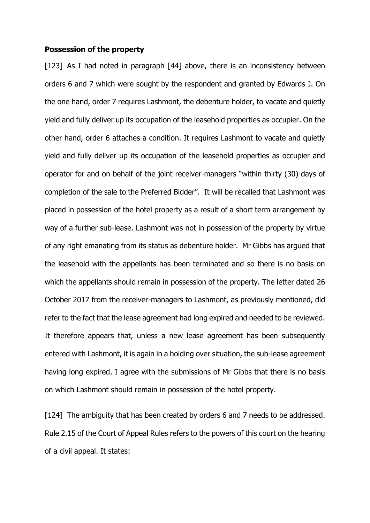#### **Possession of the property**

[123] As I had noted in paragraph [44] above, there is an inconsistency between orders 6 and 7 which were sought by the respondent and granted by Edwards J. On the one hand, order 7 requires Lashmont, the debenture holder, to vacate and quietly yield and fully deliver up its occupation of the leasehold properties as occupier. On the other hand, order 6 attaches a condition. It requires Lashmont to vacate and quietly yield and fully deliver up its occupation of the leasehold properties as occupier and operator for and on behalf of the joint receiver-managers "within thirty (30) days of completion of the sale to the Preferred Bidder". It will be recalled that Lashmont was placed in possession of the hotel property as a result of a short term arrangement by way of a further sub-lease. Lashmont was not in possession of the property by virtue of any right emanating from its status as debenture holder. Mr Gibbs has argued that the leasehold with the appellants has been terminated and so there is no basis on which the appellants should remain in possession of the property. The letter dated 26 October 2017 from the receiver-managers to Lashmont, as previously mentioned, did refer to the fact that the lease agreement had long expired and needed to be reviewed. It therefore appears that, unless a new lease agreement has been subsequently entered with Lashmont, it is again in a holding over situation, the sub-lease agreement having long expired. I agree with the submissions of Mr Gibbs that there is no basis on which Lashmont should remain in possession of the hotel property.

[124] The ambiguity that has been created by orders 6 and 7 needs to be addressed. Rule 2.15 of the Court of Appeal Rules refers to the powers of this court on the hearing of a civil appeal. It states: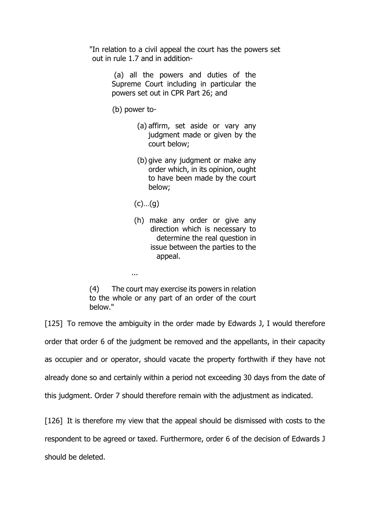"In relation to a civil appeal the court has the powers set out in rule 1.7 and in addition-

> (a) all the powers and duties of the Supreme Court including in particular the powers set out in CPR Part 26; and

- (b) power to-
	- (a) affirm, set aside or vary any judgment made or given by the court below;
	- (b) give any judgment or make any order which, in its opinion, ought to have been made by the court below;
	- $(c)...(q)$

...

(h) make any order or give any direction which is necessary to determine the real question in issue between the parties to the appeal.

(4) The court may exercise its powers in relation to the whole or any part of an order of the court below."

[125] To remove the ambiguity in the order made by Edwards J, I would therefore order that order 6 of the judgment be removed and the appellants, in their capacity as occupier and or operator, should vacate the property forthwith if they have not already done so and certainly within a period not exceeding 30 days from the date of this judgment. Order 7 should therefore remain with the adjustment as indicated.

[126] It is therefore my view that the appeal should be dismissed with costs to the respondent to be agreed or taxed. Furthermore, order 6 of the decision of Edwards J should be deleted.